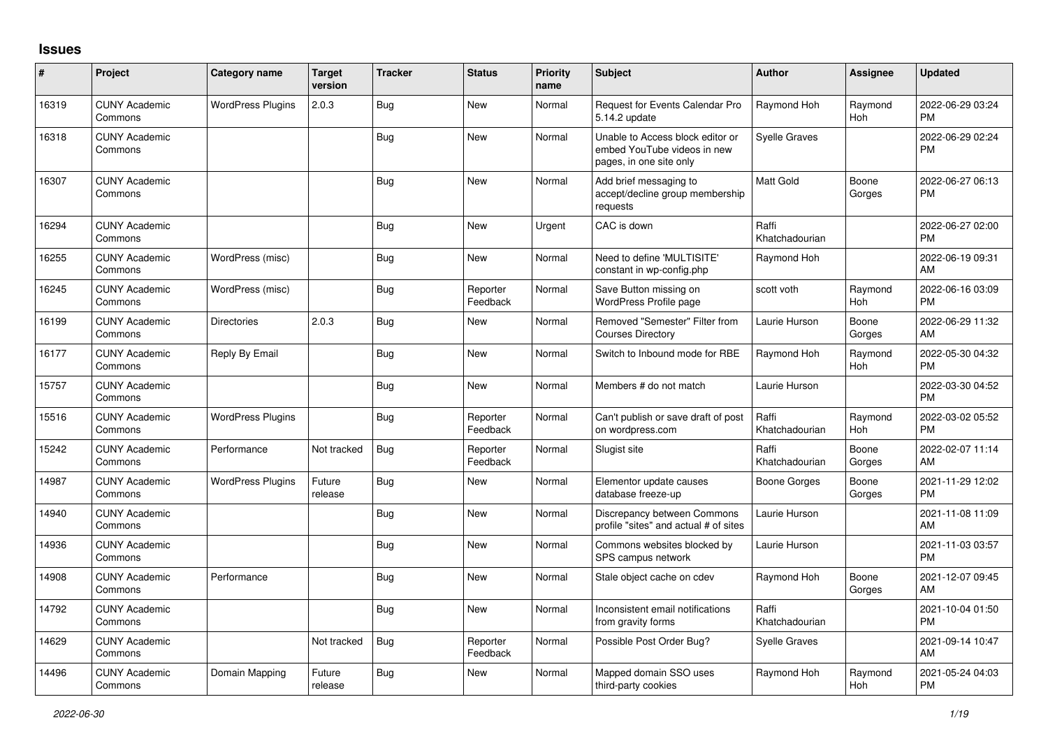## **Issues**

| #     | Project                         | <b>Category name</b>     | <b>Target</b><br>version | <b>Tracker</b> | <b>Status</b>        | <b>Priority</b><br>name | <b>Subject</b>                                                                             | <b>Author</b>           | <b>Assignee</b>       | <b>Updated</b>                |
|-------|---------------------------------|--------------------------|--------------------------|----------------|----------------------|-------------------------|--------------------------------------------------------------------------------------------|-------------------------|-----------------------|-------------------------------|
| 16319 | <b>CUNY Academic</b><br>Commons | <b>WordPress Plugins</b> | 2.0.3                    | Bug            | <b>New</b>           | Normal                  | Request for Events Calendar Pro<br>5.14.2 update                                           | Raymond Hoh             | Raymond<br><b>Hoh</b> | 2022-06-29 03:24<br><b>PM</b> |
| 16318 | <b>CUNY Academic</b><br>Commons |                          |                          | Bug            | <b>New</b>           | Normal                  | Unable to Access block editor or<br>embed YouTube videos in new<br>pages, in one site only | <b>Syelle Graves</b>    |                       | 2022-06-29 02:24<br><b>PM</b> |
| 16307 | <b>CUNY Academic</b><br>Commons |                          |                          | Bug            | <b>New</b>           | Normal                  | Add brief messaging to<br>accept/decline group membership<br>requests                      | <b>Matt Gold</b>        | Boone<br>Gorges       | 2022-06-27 06:13<br><b>PM</b> |
| 16294 | <b>CUNY Academic</b><br>Commons |                          |                          | Bug            | <b>New</b>           | Urgent                  | CAC is down                                                                                | Raffi<br>Khatchadourian |                       | 2022-06-27 02:00<br><b>PM</b> |
| 16255 | <b>CUNY Academic</b><br>Commons | WordPress (misc)         |                          | <b>Bug</b>     | New                  | Normal                  | Need to define 'MULTISITE'<br>constant in wp-config.php                                    | Raymond Hoh             |                       | 2022-06-19 09:31<br>AM        |
| 16245 | <b>CUNY Academic</b><br>Commons | WordPress (misc)         |                          | Bug            | Reporter<br>Feedback | Normal                  | Save Button missing on<br>WordPress Profile page                                           | scott voth              | Raymond<br>Hoh        | 2022-06-16 03:09<br><b>PM</b> |
| 16199 | <b>CUNY Academic</b><br>Commons | <b>Directories</b>       | 2.0.3                    | <b>Bug</b>     | New                  | Normal                  | Removed "Semester" Filter from<br><b>Courses Directory</b>                                 | Laurie Hurson           | Boone<br>Gorges       | 2022-06-29 11:32<br>AM        |
| 16177 | <b>CUNY Academic</b><br>Commons | Reply By Email           |                          | Bug            | <b>New</b>           | Normal                  | Switch to Inbound mode for RBE                                                             | Raymond Hoh             | Raymond<br>Hoh        | 2022-05-30 04:32<br><b>PM</b> |
| 15757 | <b>CUNY Academic</b><br>Commons |                          |                          | Bug            | <b>New</b>           | Normal                  | Members # do not match                                                                     | Laurie Hurson           |                       | 2022-03-30 04:52<br><b>PM</b> |
| 15516 | <b>CUNY Academic</b><br>Commons | <b>WordPress Plugins</b> |                          | Bug            | Reporter<br>Feedback | Normal                  | Can't publish or save draft of post<br>on wordpress.com                                    | Raffi<br>Khatchadourian | Raymond<br>Hoh        | 2022-03-02 05:52<br><b>PM</b> |
| 15242 | <b>CUNY Academic</b><br>Commons | Performance              | Not tracked              | <b>Bug</b>     | Reporter<br>Feedback | Normal                  | Slugist site                                                                               | Raffi<br>Khatchadourian | Boone<br>Gorges       | 2022-02-07 11:14<br>AM        |
| 14987 | <b>CUNY Academic</b><br>Commons | <b>WordPress Plugins</b> | Future<br>release        | <b>Bug</b>     | New                  | Normal                  | Elementor update causes<br>database freeze-up                                              | Boone Gorges            | Boone<br>Gorges       | 2021-11-29 12:02<br>PM        |
| 14940 | <b>CUNY Academic</b><br>Commons |                          |                          | Bug            | <b>New</b>           | Normal                  | Discrepancy between Commons<br>profile "sites" and actual # of sites                       | Laurie Hurson           |                       | 2021-11-08 11:09<br>AM        |
| 14936 | <b>CUNY Academic</b><br>Commons |                          |                          | Bug            | <b>New</b>           | Normal                  | Commons websites blocked by<br>SPS campus network                                          | Laurie Hurson           |                       | 2021-11-03 03:57<br><b>PM</b> |
| 14908 | <b>CUNY Academic</b><br>Commons | Performance              |                          | Bug            | <b>New</b>           | Normal                  | Stale object cache on cdev                                                                 | Raymond Hoh             | Boone<br>Gorges       | 2021-12-07 09:45<br>AM        |
| 14792 | <b>CUNY Academic</b><br>Commons |                          |                          | Bug            | <b>New</b>           | Normal                  | Inconsistent email notifications<br>from gravity forms                                     | Raffi<br>Khatchadourian |                       | 2021-10-04 01:50<br><b>PM</b> |
| 14629 | <b>CUNY Academic</b><br>Commons |                          | Not tracked              | <b>Bug</b>     | Reporter<br>Feedback | Normal                  | Possible Post Order Bug?                                                                   | <b>Syelle Graves</b>    |                       | 2021-09-14 10:47<br>AM        |
| 14496 | <b>CUNY Academic</b><br>Commons | Domain Mapping           | Future<br>release        | <b>Bug</b>     | <b>New</b>           | Normal                  | Mapped domain SSO uses<br>third-party cookies                                              | Raymond Hoh             | Raymond<br>Hoh        | 2021-05-24 04:03<br><b>PM</b> |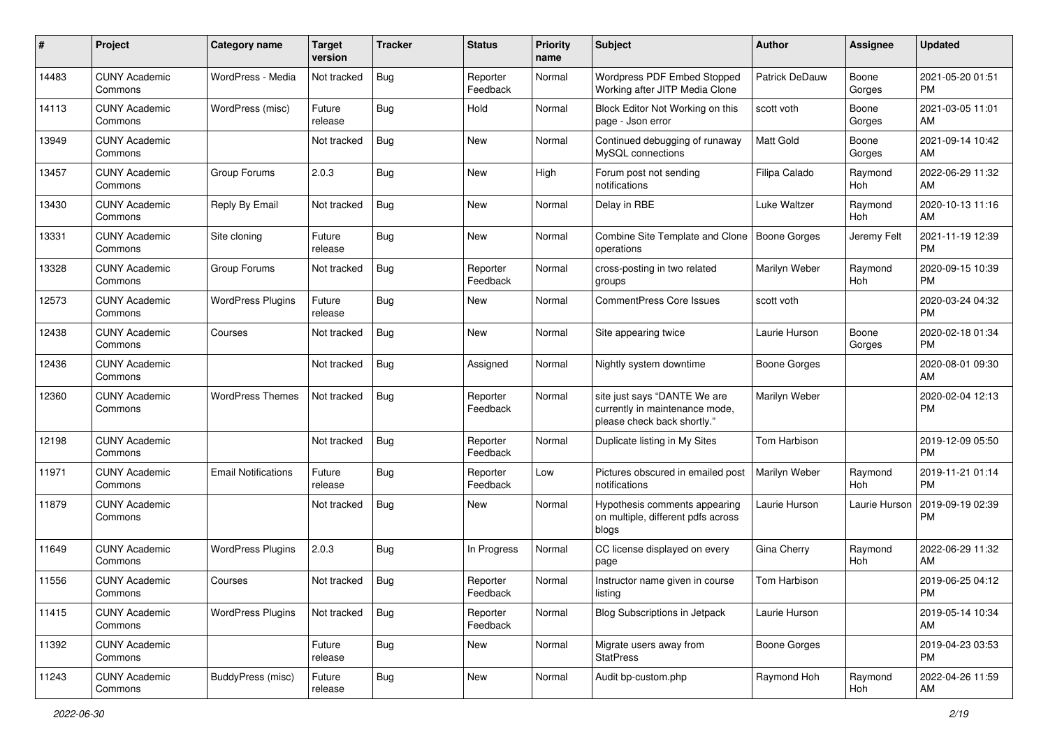| #     | Project                         | <b>Category name</b>       | <b>Target</b><br>version | <b>Tracker</b> | <b>Status</b>        | <b>Priority</b><br>name | Subject                                                                                       | Author              | Assignee        | <b>Updated</b>                |
|-------|---------------------------------|----------------------------|--------------------------|----------------|----------------------|-------------------------|-----------------------------------------------------------------------------------------------|---------------------|-----------------|-------------------------------|
| 14483 | <b>CUNY Academic</b><br>Commons | WordPress - Media          | Not tracked              | Bug            | Reporter<br>Feedback | Normal                  | Wordpress PDF Embed Stopped<br>Working after JITP Media Clone                                 | Patrick DeDauw      | Boone<br>Gorges | 2021-05-20 01:51<br>PM        |
| 14113 | <b>CUNY Academic</b><br>Commons | WordPress (misc)           | Future<br>release        | <b>Bug</b>     | Hold                 | Normal                  | Block Editor Not Working on this<br>page - Json error                                         | scott voth          | Boone<br>Gorges | 2021-03-05 11:01<br>AM        |
| 13949 | <b>CUNY Academic</b><br>Commons |                            | Not tracked              | Bug            | New                  | Normal                  | Continued debugging of runaway<br>MySQL connections                                           | <b>Matt Gold</b>    | Boone<br>Gorges | 2021-09-14 10:42<br>AM        |
| 13457 | <b>CUNY Academic</b><br>Commons | Group Forums               | 2.0.3                    | Bug            | New                  | High                    | Forum post not sending<br>notifications                                                       | Filipa Calado       | Raymond<br>Hoh  | 2022-06-29 11:32<br>AM        |
| 13430 | <b>CUNY Academic</b><br>Commons | Reply By Email             | Not tracked              | Bug            | New                  | Normal                  | Delay in RBE                                                                                  | Luke Waltzer        | Raymond<br>Hoh  | 2020-10-13 11:16<br>AM        |
| 13331 | <b>CUNY Academic</b><br>Commons | Site cloning               | Future<br>release        | Bug            | New                  | Normal                  | Combine Site Template and Clone<br>operations                                                 | <b>Boone Gorges</b> | Jeremy Felt     | 2021-11-19 12:39<br><b>PM</b> |
| 13328 | <b>CUNY Academic</b><br>Commons | Group Forums               | Not tracked              | Bug            | Reporter<br>Feedback | Normal                  | cross-posting in two related<br>groups                                                        | Marilyn Weber       | Raymond<br>Hoh  | 2020-09-15 10:39<br><b>PM</b> |
| 12573 | <b>CUNY Academic</b><br>Commons | <b>WordPress Plugins</b>   | Future<br>release        | Bug            | New                  | Normal                  | <b>CommentPress Core Issues</b>                                                               | scott voth          |                 | 2020-03-24 04:32<br><b>PM</b> |
| 12438 | <b>CUNY Academic</b><br>Commons | Courses                    | Not tracked              | Bug            | New                  | Normal                  | Site appearing twice                                                                          | Laurie Hurson       | Boone<br>Gorges | 2020-02-18 01:34<br><b>PM</b> |
| 12436 | <b>CUNY Academic</b><br>Commons |                            | Not tracked              | Bug            | Assigned             | Normal                  | Nightly system downtime                                                                       | Boone Gorges        |                 | 2020-08-01 09:30<br>AM        |
| 12360 | <b>CUNY Academic</b><br>Commons | <b>WordPress Themes</b>    | Not tracked              | Bug            | Reporter<br>Feedback | Normal                  | site just says "DANTE We are<br>currently in maintenance mode,<br>please check back shortly." | Marilyn Weber       |                 | 2020-02-04 12:13<br><b>PM</b> |
| 12198 | <b>CUNY Academic</b><br>Commons |                            | Not tracked              | Bug            | Reporter<br>Feedback | Normal                  | Duplicate listing in My Sites                                                                 | Tom Harbison        |                 | 2019-12-09 05:50<br>PM        |
| 11971 | <b>CUNY Academic</b><br>Commons | <b>Email Notifications</b> | Future<br>release        | Bug            | Reporter<br>Feedback | Low                     | Pictures obscured in emailed post<br>notifications                                            | Marilyn Weber       | Raymond<br>Hoh  | 2019-11-21 01:14<br><b>PM</b> |
| 11879 | <b>CUNY Academic</b><br>Commons |                            | Not tracked              | Bug            | New                  | Normal                  | Hypothesis comments appearing<br>on multiple, different pdfs across<br>blogs                  | Laurie Hurson       | Laurie Hurson   | 2019-09-19 02:39<br><b>PM</b> |
| 11649 | <b>CUNY Academic</b><br>Commons | <b>WordPress Plugins</b>   | 2.0.3                    | Bug            | In Progress          | Normal                  | CC license displayed on every<br>page                                                         | Gina Cherry         | Raymond<br>Hoh  | 2022-06-29 11:32<br>AM        |
| 11556 | <b>CUNY Academic</b><br>Commons | Courses                    | Not tracked              | Bug            | Reporter<br>Feedback | Normal                  | Instructor name given in course<br>listing                                                    | Tom Harbison        |                 | 2019-06-25 04:12<br>PM        |
| 11415 | <b>CUNY Academic</b><br>Commons | <b>WordPress Plugins</b>   | Not tracked              | <b>Bug</b>     | Reporter<br>Feedback | Normal                  | <b>Blog Subscriptions in Jetpack</b>                                                          | Laurie Hurson       |                 | 2019-05-14 10:34<br>AM        |
| 11392 | <b>CUNY Academic</b><br>Commons |                            | Future<br>release        | <b>Bug</b>     | New                  | Normal                  | Migrate users away from<br><b>StatPress</b>                                                   | Boone Gorges        |                 | 2019-04-23 03:53<br><b>PM</b> |
| 11243 | <b>CUNY Academic</b><br>Commons | BuddyPress (misc)          | Future<br>release        | <b>Bug</b>     | New                  | Normal                  | Audit bp-custom.php                                                                           | Raymond Hoh         | Raymond<br>Hoh  | 2022-04-26 11:59<br>AM        |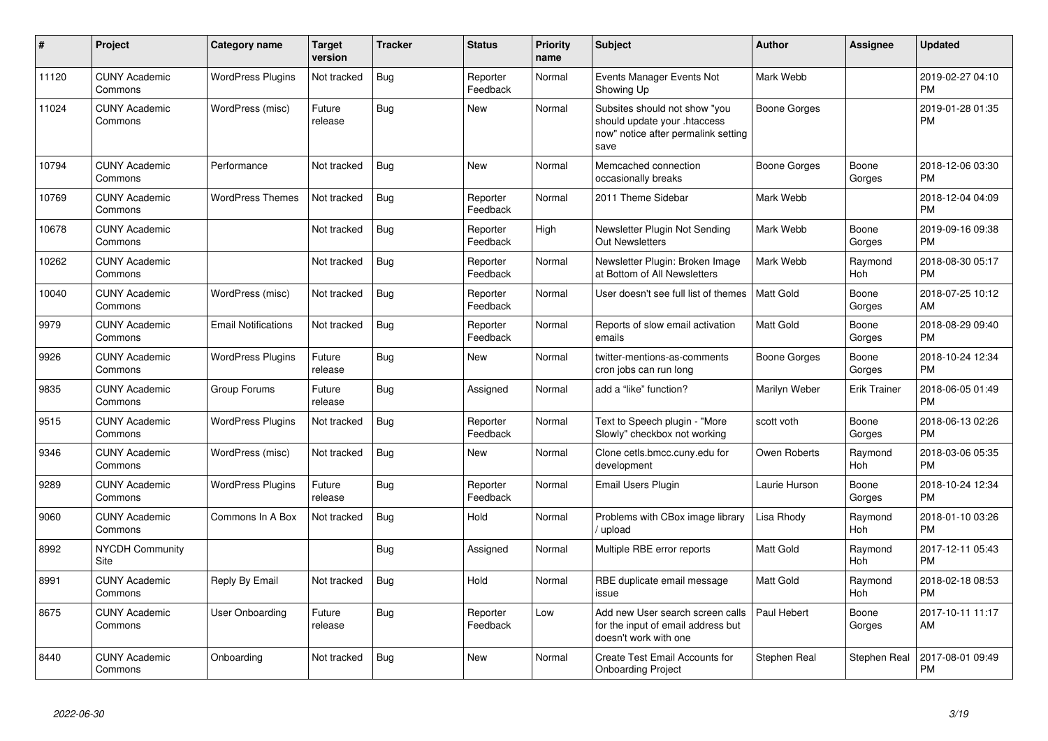| #     | Project                         | <b>Category name</b>       | <b>Target</b><br>version | <b>Tracker</b> | <b>Status</b>        | <b>Priority</b><br>name | <b>Subject</b>                                                                                               | <b>Author</b>    | <b>Assignee</b> | <b>Updated</b>                |
|-------|---------------------------------|----------------------------|--------------------------|----------------|----------------------|-------------------------|--------------------------------------------------------------------------------------------------------------|------------------|-----------------|-------------------------------|
| 11120 | <b>CUNY Academic</b><br>Commons | <b>WordPress Plugins</b>   | Not tracked              | Bug            | Reporter<br>Feedback | Normal                  | Events Manager Events Not<br>Showing Up                                                                      | Mark Webb        |                 | 2019-02-27 04:10<br><b>PM</b> |
| 11024 | <b>CUNY Academic</b><br>Commons | WordPress (misc)           | Future<br>release        | Bug            | <b>New</b>           | Normal                  | Subsites should not show "you<br>should update your .htaccess<br>now" notice after permalink setting<br>save | Boone Gorges     |                 | 2019-01-28 01:35<br><b>PM</b> |
| 10794 | <b>CUNY Academic</b><br>Commons | Performance                | Not tracked              | Bug            | <b>New</b>           | Normal                  | Memcached connection<br>occasionally breaks                                                                  | Boone Gorges     | Boone<br>Gorges | 2018-12-06 03:30<br><b>PM</b> |
| 10769 | <b>CUNY Academic</b><br>Commons | <b>WordPress Themes</b>    | Not tracked              | Bug            | Reporter<br>Feedback | Normal                  | 2011 Theme Sidebar                                                                                           | Mark Webb        |                 | 2018-12-04 04:09<br><b>PM</b> |
| 10678 | <b>CUNY Academic</b><br>Commons |                            | Not tracked              | <b>Bug</b>     | Reporter<br>Feedback | High                    | Newsletter Plugin Not Sending<br><b>Out Newsletters</b>                                                      | Mark Webb        | Boone<br>Gorges | 2019-09-16 09:38<br><b>PM</b> |
| 10262 | <b>CUNY Academic</b><br>Commons |                            | Not tracked              | <b>Bug</b>     | Reporter<br>Feedback | Normal                  | Newsletter Plugin: Broken Image<br>at Bottom of All Newsletters                                              | Mark Webb        | Raymond<br>Hoh  | 2018-08-30 05:17<br><b>PM</b> |
| 10040 | <b>CUNY Academic</b><br>Commons | WordPress (misc)           | Not tracked              | Bug            | Reporter<br>Feedback | Normal                  | User doesn't see full list of themes                                                                         | <b>Matt Gold</b> | Boone<br>Gorges | 2018-07-25 10:12<br>AM        |
| 9979  | <b>CUNY Academic</b><br>Commons | <b>Email Notifications</b> | Not tracked              | <b>Bug</b>     | Reporter<br>Feedback | Normal                  | Reports of slow email activation<br>emails                                                                   | <b>Matt Gold</b> | Boone<br>Gorges | 2018-08-29 09:40<br><b>PM</b> |
| 9926  | <b>CUNY Academic</b><br>Commons | <b>WordPress Plugins</b>   | Future<br>release        | Bug            | New                  | Normal                  | twitter-mentions-as-comments<br>cron jobs can run long                                                       | Boone Gorges     | Boone<br>Gorges | 2018-10-24 12:34<br><b>PM</b> |
| 9835  | <b>CUNY Academic</b><br>Commons | Group Forums               | Future<br>release        | Bug            | Assigned             | Normal                  | add a "like" function?                                                                                       | Marilyn Weber    | Erik Trainer    | 2018-06-05 01:49<br><b>PM</b> |
| 9515  | <b>CUNY Academic</b><br>Commons | <b>WordPress Plugins</b>   | Not tracked              | <b>Bug</b>     | Reporter<br>Feedback | Normal                  | Text to Speech plugin - "More<br>Slowly" checkbox not working                                                | scott voth       | Boone<br>Gorges | 2018-06-13 02:26<br><b>PM</b> |
| 9346  | <b>CUNY Academic</b><br>Commons | WordPress (misc)           | Not tracked              | Bug            | <b>New</b>           | Normal                  | Clone cetls.bmcc.cuny.edu for<br>development                                                                 | Owen Roberts     | Raymond<br>Hoh  | 2018-03-06 05:35<br><b>PM</b> |
| 9289  | <b>CUNY Academic</b><br>Commons | <b>WordPress Plugins</b>   | Future<br>release        | Bug            | Reporter<br>Feedback | Normal                  | Email Users Plugin                                                                                           | Laurie Hurson    | Boone<br>Gorges | 2018-10-24 12:34<br><b>PM</b> |
| 9060  | <b>CUNY Academic</b><br>Commons | Commons In A Box           | Not tracked              | Bug            | Hold                 | Normal                  | Problems with CBox image library<br>upload                                                                   | Lisa Rhody       | Raymond<br>Hoh  | 2018-01-10 03:26<br><b>PM</b> |
| 8992  | <b>NYCDH Community</b><br>Site  |                            |                          | Bug            | Assigned             | Normal                  | Multiple RBE error reports                                                                                   | <b>Matt Gold</b> | Raymond<br>Hoh  | 2017-12-11 05:43<br><b>PM</b> |
| 8991  | <b>CUNY Academic</b><br>Commons | Reply By Email             | Not tracked              | Bug            | Hold                 | Normal                  | RBE duplicate email message<br>issue                                                                         | <b>Matt Gold</b> | Raymond<br>Hoh  | 2018-02-18 08:53<br><b>PM</b> |
| 8675  | <b>CUNY Academic</b><br>Commons | User Onboarding            | Future<br>release        | Bug            | Reporter<br>Feedback | Low                     | Add new User search screen calls<br>for the input of email address but<br>doesn't work with one              | Paul Hebert      | Boone<br>Gorges | 2017-10-11 11:17<br>AM        |
| 8440  | <b>CUNY Academic</b><br>Commons | Onboarding                 | Not tracked              | <b>Bug</b>     | <b>New</b>           | Normal                  | Create Test Email Accounts for<br><b>Onboarding Project</b>                                                  | Stephen Real     | Stephen Real    | 2017-08-01 09:49<br><b>PM</b> |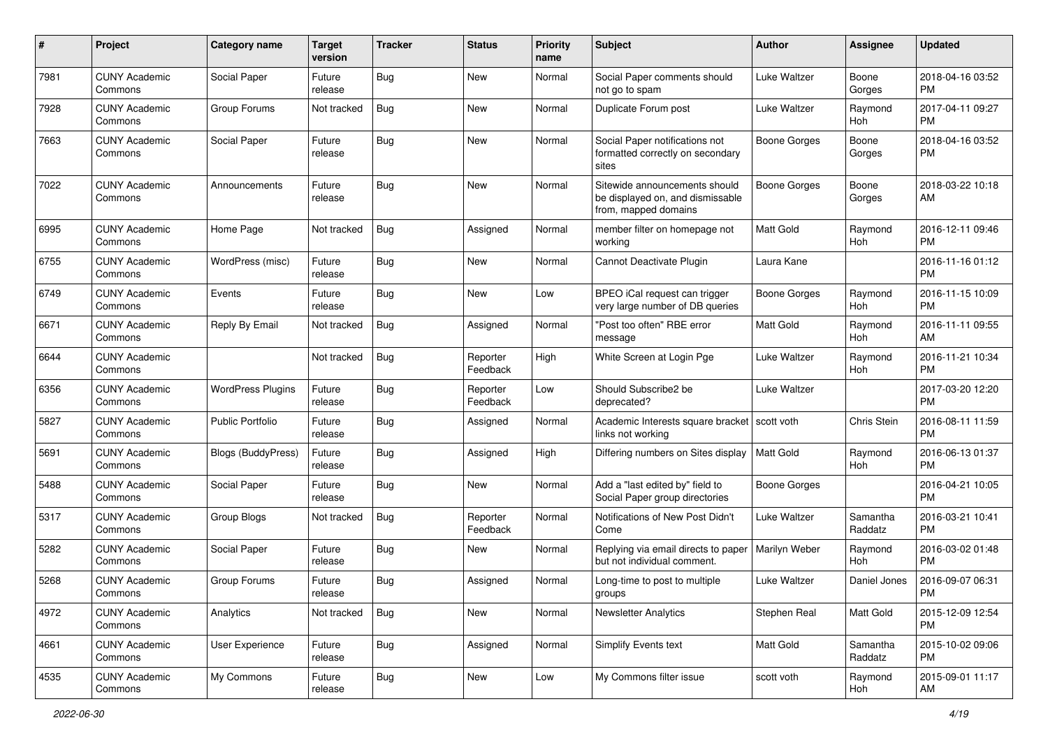| #    | Project                         | <b>Category name</b>      | <b>Target</b><br>version | <b>Tracker</b> | <b>Status</b>        | Priority<br>name | <b>Subject</b>                                                                            | Author              | <b>Assignee</b>       | <b>Updated</b>                |
|------|---------------------------------|---------------------------|--------------------------|----------------|----------------------|------------------|-------------------------------------------------------------------------------------------|---------------------|-----------------------|-------------------------------|
| 7981 | <b>CUNY Academic</b><br>Commons | Social Paper              | Future<br>release        | Bug            | <b>New</b>           | Normal           | Social Paper comments should<br>not go to spam                                            | Luke Waltzer        | Boone<br>Gorges       | 2018-04-16 03:52<br><b>PM</b> |
| 7928 | <b>CUNY Academic</b><br>Commons | Group Forums              | Not tracked              | Bug            | New                  | Normal           | Duplicate Forum post                                                                      | Luke Waltzer        | Raymond<br>Hoh        | 2017-04-11 09:27<br><b>PM</b> |
| 7663 | <b>CUNY Academic</b><br>Commons | Social Paper              | Future<br>release        | <b>Bug</b>     | <b>New</b>           | Normal           | Social Paper notifications not<br>formatted correctly on secondary<br>sites               | <b>Boone Gorges</b> | Boone<br>Gorges       | 2018-04-16 03:52<br><b>PM</b> |
| 7022 | <b>CUNY Academic</b><br>Commons | Announcements             | Future<br>release        | Bug            | <b>New</b>           | Normal           | Sitewide announcements should<br>be displayed on, and dismissable<br>from, mapped domains | <b>Boone Gorges</b> | Boone<br>Gorges       | 2018-03-22 10:18<br>AM        |
| 6995 | <b>CUNY Academic</b><br>Commons | Home Page                 | Not tracked              | Bug            | Assigned             | Normal           | member filter on homepage not<br>working                                                  | <b>Matt Gold</b>    | Raymond<br>Hoh        | 2016-12-11 09:46<br><b>PM</b> |
| 6755 | <b>CUNY Academic</b><br>Commons | WordPress (misc)          | Future<br>release        | Bug            | New                  | Normal           | Cannot Deactivate Plugin                                                                  | Laura Kane          |                       | 2016-11-16 01:12<br><b>PM</b> |
| 6749 | <b>CUNY Academic</b><br>Commons | Events                    | Future<br>release        | <b>Bug</b>     | <b>New</b>           | Low              | BPEO iCal request can trigger<br>very large number of DB queries                          | Boone Gorges        | Raymond<br><b>Hoh</b> | 2016-11-15 10:09<br><b>PM</b> |
| 6671 | <b>CUNY Academic</b><br>Commons | Reply By Email            | Not tracked              | Bug            | Assigned             | Normal           | "Post too often" RBE error<br>message                                                     | Matt Gold           | Raymond<br>Hoh        | 2016-11-11 09:55<br>AM        |
| 6644 | <b>CUNY Academic</b><br>Commons |                           | Not tracked              | Bug            | Reporter<br>Feedback | High             | White Screen at Login Pge                                                                 | Luke Waltzer        | Raymond<br>Hoh        | 2016-11-21 10:34<br><b>PM</b> |
| 6356 | <b>CUNY Academic</b><br>Commons | <b>WordPress Plugins</b>  | Future<br>release        | Bug            | Reporter<br>Feedback | Low              | Should Subscribe2 be<br>deprecated?                                                       | Luke Waltzer        |                       | 2017-03-20 12:20<br><b>PM</b> |
| 5827 | <b>CUNY Academic</b><br>Commons | <b>Public Portfolio</b>   | Future<br>release        | Bug            | Assigned             | Normal           | Academic Interests square bracket   scott voth<br>links not working                       |                     | Chris Stein           | 2016-08-11 11:59<br><b>PM</b> |
| 5691 | <b>CUNY Academic</b><br>Commons | <b>Blogs (BuddyPress)</b> | Future<br>release        | <b>Bug</b>     | Assigned             | High             | Differing numbers on Sites display                                                        | <b>Matt Gold</b>    | Raymond<br>Hoh        | 2016-06-13 01:37<br><b>PM</b> |
| 5488 | <b>CUNY Academic</b><br>Commons | Social Paper              | Future<br>release        | Bug            | <b>New</b>           | Normal           | Add a "last edited by" field to<br>Social Paper group directories                         | Boone Gorges        |                       | 2016-04-21 10:05<br><b>PM</b> |
| 5317 | <b>CUNY Academic</b><br>Commons | Group Blogs               | Not tracked              | Bug            | Reporter<br>Feedback | Normal           | Notifications of New Post Didn't<br>Come                                                  | Luke Waltzer        | Samantha<br>Raddatz   | 2016-03-21 10:41<br><b>PM</b> |
| 5282 | <b>CUNY Academic</b><br>Commons | Social Paper              | Future<br>release        | <b>Bug</b>     | New                  | Normal           | Replying via email directs to paper<br>but not individual comment.                        | Marilyn Weber       | Raymond<br>Hoh        | 2016-03-02 01:48<br><b>PM</b> |
| 5268 | <b>CUNY Academic</b><br>Commons | Group Forums              | Future<br>release        | <b>Bug</b>     | Assigned             | Normal           | Long-time to post to multiple<br>groups                                                   | Luke Waltzer        | Daniel Jones          | 2016-09-07 06:31<br>PM        |
| 4972 | <b>CUNY Academic</b><br>Commons | Analytics                 | Not tracked              | <b>Bug</b>     | New                  | Normal           | <b>Newsletter Analytics</b>                                                               | Stephen Real        | Matt Gold             | 2015-12-09 12:54<br><b>PM</b> |
| 4661 | <b>CUNY Academic</b><br>Commons | User Experience           | Future<br>release        | <b>Bug</b>     | Assigned             | Normal           | Simplify Events text                                                                      | Matt Gold           | Samantha<br>Raddatz   | 2015-10-02 09:06<br><b>PM</b> |
| 4535 | <b>CUNY Academic</b><br>Commons | My Commons                | Future<br>release        | <b>Bug</b>     | New                  | Low              | My Commons filter issue                                                                   | scott voth          | Raymond<br>Hoh        | 2015-09-01 11:17<br>AM        |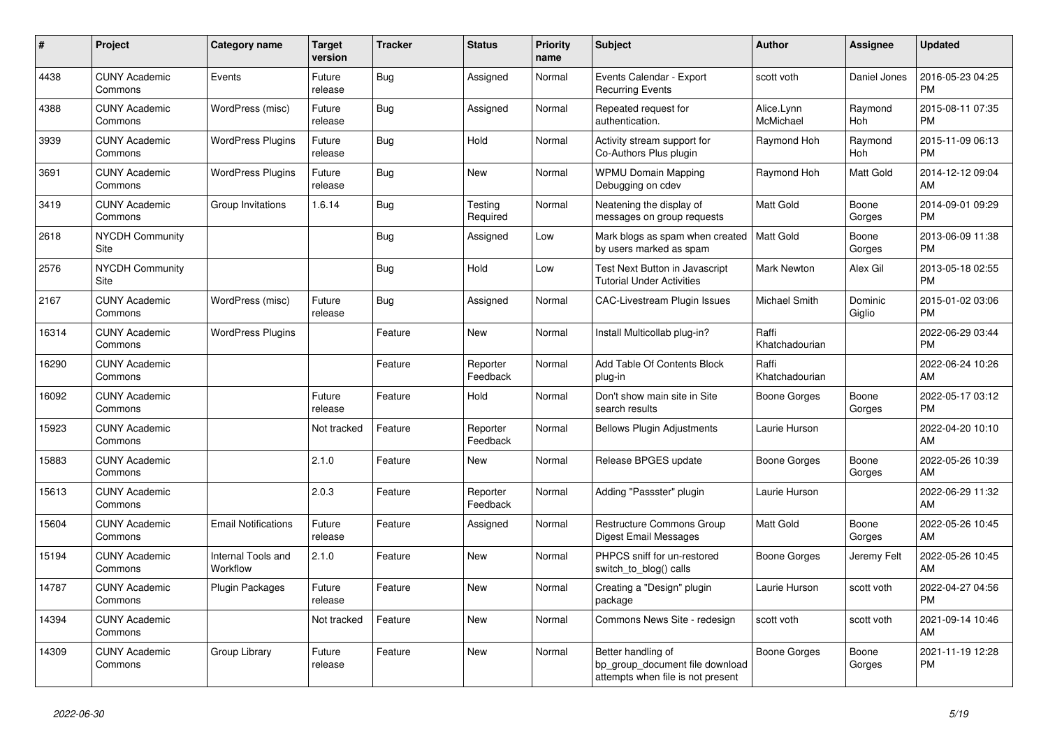| #     | Project                         | Category name                  | <b>Target</b><br>version | <b>Tracker</b> | <b>Status</b>        | <b>Priority</b><br>name | <b>Subject</b>                                                                             | <b>Author</b>           | Assignee          | <b>Updated</b>                |
|-------|---------------------------------|--------------------------------|--------------------------|----------------|----------------------|-------------------------|--------------------------------------------------------------------------------------------|-------------------------|-------------------|-------------------------------|
| 4438  | <b>CUNY Academic</b><br>Commons | Events                         | Future<br>release        | Bug            | Assigned             | Normal                  | Events Calendar - Export<br><b>Recurring Events</b>                                        | scott voth              | Daniel Jones      | 2016-05-23 04:25<br><b>PM</b> |
| 4388  | <b>CUNY Academic</b><br>Commons | WordPress (misc)               | Future<br>release        | <b>Bug</b>     | Assigned             | Normal                  | Repeated request for<br>authentication.                                                    | Alice.Lynn<br>McMichael | Raymond<br>Hoh    | 2015-08-11 07:35<br><b>PM</b> |
| 3939  | <b>CUNY Academic</b><br>Commons | <b>WordPress Plugins</b>       | Future<br>release        | Bug            | Hold                 | Normal                  | Activity stream support for<br>Co-Authors Plus plugin                                      | Raymond Hoh             | Raymond<br>Hoh    | 2015-11-09 06:13<br><b>PM</b> |
| 3691  | <b>CUNY Academic</b><br>Commons | <b>WordPress Plugins</b>       | Future<br>release        | Bug            | <b>New</b>           | Normal                  | <b>WPMU Domain Mapping</b><br>Debugging on cdev                                            | Raymond Hoh             | Matt Gold         | 2014-12-12 09:04<br>AM        |
| 3419  | <b>CUNY Academic</b><br>Commons | Group Invitations              | 1.6.14                   | Bug            | Testing<br>Required  | Normal                  | Neatening the display of<br>messages on group requests                                     | <b>Matt Gold</b>        | Boone<br>Gorges   | 2014-09-01 09:29<br><b>PM</b> |
| 2618  | NYCDH Community<br>Site         |                                |                          | Bug            | Assigned             | Low                     | Mark blogs as spam when created<br>by users marked as spam                                 | Matt Gold               | Boone<br>Gorges   | 2013-06-09 11:38<br><b>PM</b> |
| 2576  | <b>NYCDH Community</b><br>Site  |                                |                          | Bug            | Hold                 | Low                     | Test Next Button in Javascript<br><b>Tutorial Under Activities</b>                         | <b>Mark Newton</b>      | Alex Gil          | 2013-05-18 02:55<br><b>PM</b> |
| 2167  | <b>CUNY Academic</b><br>Commons | WordPress (misc)               | Future<br>release        | <b>Bug</b>     | Assigned             | Normal                  | <b>CAC-Livestream Plugin Issues</b>                                                        | <b>Michael Smith</b>    | Dominic<br>Giglio | 2015-01-02 03:06<br><b>PM</b> |
| 16314 | <b>CUNY Academic</b><br>Commons | <b>WordPress Plugins</b>       |                          | Feature        | <b>New</b>           | Normal                  | Install Multicollab plug-in?                                                               | Raffi<br>Khatchadourian |                   | 2022-06-29 03:44<br><b>PM</b> |
| 16290 | <b>CUNY Academic</b><br>Commons |                                |                          | Feature        | Reporter<br>Feedback | Normal                  | Add Table Of Contents Block<br>plug-in                                                     | Raffi<br>Khatchadourian |                   | 2022-06-24 10:26<br>AM        |
| 16092 | <b>CUNY Academic</b><br>Commons |                                | Future<br>release        | Feature        | Hold                 | Normal                  | Don't show main site in Site<br>search results                                             | <b>Boone Gorges</b>     | Boone<br>Gorges   | 2022-05-17 03:12<br><b>PM</b> |
| 15923 | <b>CUNY Academic</b><br>Commons |                                | Not tracked              | Feature        | Reporter<br>Feedback | Normal                  | <b>Bellows Plugin Adjustments</b>                                                          | Laurie Hurson           |                   | 2022-04-20 10:10<br>AM        |
| 15883 | <b>CUNY Academic</b><br>Commons |                                | 2.1.0                    | Feature        | <b>New</b>           | Normal                  | Release BPGES update                                                                       | Boone Gorges            | Boone<br>Gorges   | 2022-05-26 10:39<br>AM        |
| 15613 | <b>CUNY Academic</b><br>Commons |                                | 2.0.3                    | Feature        | Reporter<br>Feedback | Normal                  | Adding "Passster" plugin                                                                   | Laurie Hurson           |                   | 2022-06-29 11:32<br>AM        |
| 15604 | <b>CUNY Academic</b><br>Commons | <b>Email Notifications</b>     | Future<br>release        | Feature        | Assigned             | Normal                  | <b>Restructure Commons Group</b><br><b>Digest Email Messages</b>                           | Matt Gold               | Boone<br>Gorges   | 2022-05-26 10:45<br>AM        |
| 15194 | <b>CUNY Academic</b><br>Commons | Internal Tools and<br>Workflow | 2.1.0                    | Feature        | <b>New</b>           | Normal                  | PHPCS sniff for un-restored<br>switch_to_blog() calls                                      | Boone Gorges            | Jeremy Felt       | 2022-05-26 10:45<br>AM        |
| 14787 | <b>CUNY Academic</b><br>Commons | <b>Plugin Packages</b>         | Future<br>release        | Feature        | <b>New</b>           | Normal                  | Creating a "Design" plugin<br>package                                                      | Laurie Hurson           | scott voth        | 2022-04-27 04:56<br><b>PM</b> |
| 14394 | <b>CUNY Academic</b><br>Commons |                                | Not tracked              | Feature        | <b>New</b>           | Normal                  | Commons News Site - redesign                                                               | scott voth              | scott voth        | 2021-09-14 10:46<br>AM        |
| 14309 | <b>CUNY Academic</b><br>Commons | Group Library                  | Future<br>release        | Feature        | <b>New</b>           | Normal                  | Better handling of<br>bp group document file download<br>attempts when file is not present | Boone Gorges            | Boone<br>Gorges   | 2021-11-19 12:28<br><b>PM</b> |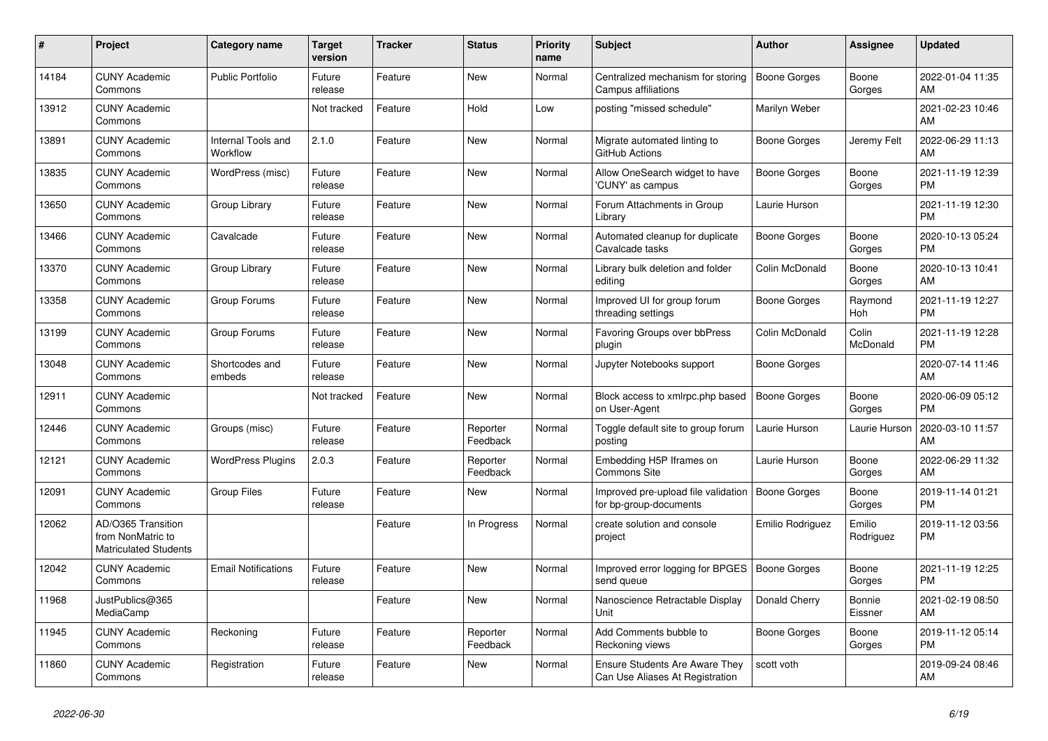| #     | Project                                                                 | <b>Category name</b>           | <b>Target</b><br>version | <b>Tracker</b> | <b>Status</b>        | <b>Priority</b><br>name | <b>Subject</b>                                                           | <b>Author</b>       | <b>Assignee</b>       | <b>Updated</b>                |
|-------|-------------------------------------------------------------------------|--------------------------------|--------------------------|----------------|----------------------|-------------------------|--------------------------------------------------------------------------|---------------------|-----------------------|-------------------------------|
| 14184 | <b>CUNY Academic</b><br>Commons                                         | <b>Public Portfolio</b>        | Future<br>release        | Feature        | New                  | Normal                  | Centralized mechanism for storing<br>Campus affiliations                 | <b>Boone Gorges</b> | Boone<br>Gorges       | 2022-01-04 11:35<br>AM        |
| 13912 | <b>CUNY Academic</b><br>Commons                                         |                                | Not tracked              | Feature        | Hold                 | Low                     | posting "missed schedule"                                                | Marilyn Weber       |                       | 2021-02-23 10:46<br>AM        |
| 13891 | <b>CUNY Academic</b><br>Commons                                         | Internal Tools and<br>Workflow | 2.1.0                    | Feature        | <b>New</b>           | Normal                  | Migrate automated linting to<br>GitHub Actions                           | Boone Gorges        | Jeremy Felt           | 2022-06-29 11:13<br>AM        |
| 13835 | <b>CUNY Academic</b><br>Commons                                         | WordPress (misc)               | Future<br>release        | Feature        | <b>New</b>           | Normal                  | Allow OneSearch widget to have<br>'CUNY' as campus                       | Boone Gorges        | Boone<br>Gorges       | 2021-11-19 12:39<br><b>PM</b> |
| 13650 | <b>CUNY Academic</b><br>Commons                                         | Group Library                  | Future<br>release        | Feature        | New                  | Normal                  | Forum Attachments in Group<br>Library                                    | Laurie Hurson       |                       | 2021-11-19 12:30<br><b>PM</b> |
| 13466 | <b>CUNY Academic</b><br>Commons                                         | Cavalcade                      | Future<br>release        | Feature        | New                  | Normal                  | Automated cleanup for duplicate<br>Cavalcade tasks                       | Boone Gorges        | Boone<br>Gorges       | 2020-10-13 05:24<br><b>PM</b> |
| 13370 | <b>CUNY Academic</b><br>Commons                                         | Group Library                  | Future<br>release        | Feature        | <b>New</b>           | Normal                  | Library bulk deletion and folder<br>editing                              | Colin McDonald      | Boone<br>Gorges       | 2020-10-13 10:41<br>AM        |
| 13358 | <b>CUNY Academic</b><br>Commons                                         | Group Forums                   | Future<br>release        | Feature        | New                  | Normal                  | Improved UI for group forum<br>threading settings                        | Boone Gorges        | Raymond<br><b>Hoh</b> | 2021-11-19 12:27<br><b>PM</b> |
| 13199 | <b>CUNY Academic</b><br>Commons                                         | Group Forums                   | Future<br>release        | Feature        | <b>New</b>           | Normal                  | Favoring Groups over bbPress<br>plugin                                   | Colin McDonald      | Colin<br>McDonald     | 2021-11-19 12:28<br><b>PM</b> |
| 13048 | <b>CUNY Academic</b><br>Commons                                         | Shortcodes and<br>embeds       | Future<br>release        | Feature        | <b>New</b>           | Normal                  | Jupyter Notebooks support                                                | Boone Gorges        |                       | 2020-07-14 11:46<br>AM        |
| 12911 | <b>CUNY Academic</b><br>Commons                                         |                                | Not tracked              | Feature        | New                  | Normal                  | Block access to xmlrpc.php based<br>on User-Agent                        | <b>Boone Gorges</b> | Boone<br>Gorges       | 2020-06-09 05:12<br><b>PM</b> |
| 12446 | <b>CUNY Academic</b><br>Commons                                         | Groups (misc)                  | Future<br>release        | Feature        | Reporter<br>Feedback | Normal                  | Toggle default site to group forum<br>posting                            | Laurie Hurson       | Laurie Hurson         | 2020-03-10 11:57<br>AM        |
| 12121 | <b>CUNY Academic</b><br>Commons                                         | <b>WordPress Plugins</b>       | 2.0.3                    | Feature        | Reporter<br>Feedback | Normal                  | Embedding H5P Iframes on<br><b>Commons Site</b>                          | Laurie Hurson       | Boone<br>Gorges       | 2022-06-29 11:32<br>AM        |
| 12091 | <b>CUNY Academic</b><br>Commons                                         | Group Files                    | Future<br>release        | Feature        | <b>New</b>           | Normal                  | Improved pre-upload file validation<br>for bp-group-documents            | Boone Gorges        | Boone<br>Gorges       | 2019-11-14 01:21<br><b>PM</b> |
| 12062 | AD/O365 Transition<br>from NonMatric to<br><b>Matriculated Students</b> |                                |                          | Feature        | In Progress          | Normal                  | create solution and console<br>project                                   | Emilio Rodriguez    | Emilio<br>Rodriguez   | 2019-11-12 03:56<br><b>PM</b> |
| 12042 | <b>CUNY Academic</b><br>Commons                                         | <b>Email Notifications</b>     | Future<br>release        | Feature        | <b>New</b>           | Normal                  | Improved error logging for BPGES<br>send queue                           | Boone Gorges        | Boone<br>Gorges       | 2021-11-19 12:25<br><b>PM</b> |
| 11968 | JustPublics@365<br>MediaCamp                                            |                                |                          | Feature        | <b>New</b>           | Normal                  | Nanoscience Retractable Display<br>Unit                                  | Donald Cherry       | Bonnie<br>Eissner     | 2021-02-19 08:50<br>AM        |
| 11945 | <b>CUNY Academic</b><br>Commons                                         | Reckoning                      | Future<br>release        | Feature        | Reporter<br>Feedback | Normal                  | Add Comments bubble to<br>Reckoning views                                | Boone Gorges        | Boone<br>Gorges       | 2019-11-12 05:14<br><b>PM</b> |
| 11860 | <b>CUNY Academic</b><br>Commons                                         | Registration                   | Future<br>release        | Feature        | <b>New</b>           | Normal                  | <b>Ensure Students Are Aware They</b><br>Can Use Aliases At Registration | scott voth          |                       | 2019-09-24 08:46<br>AM        |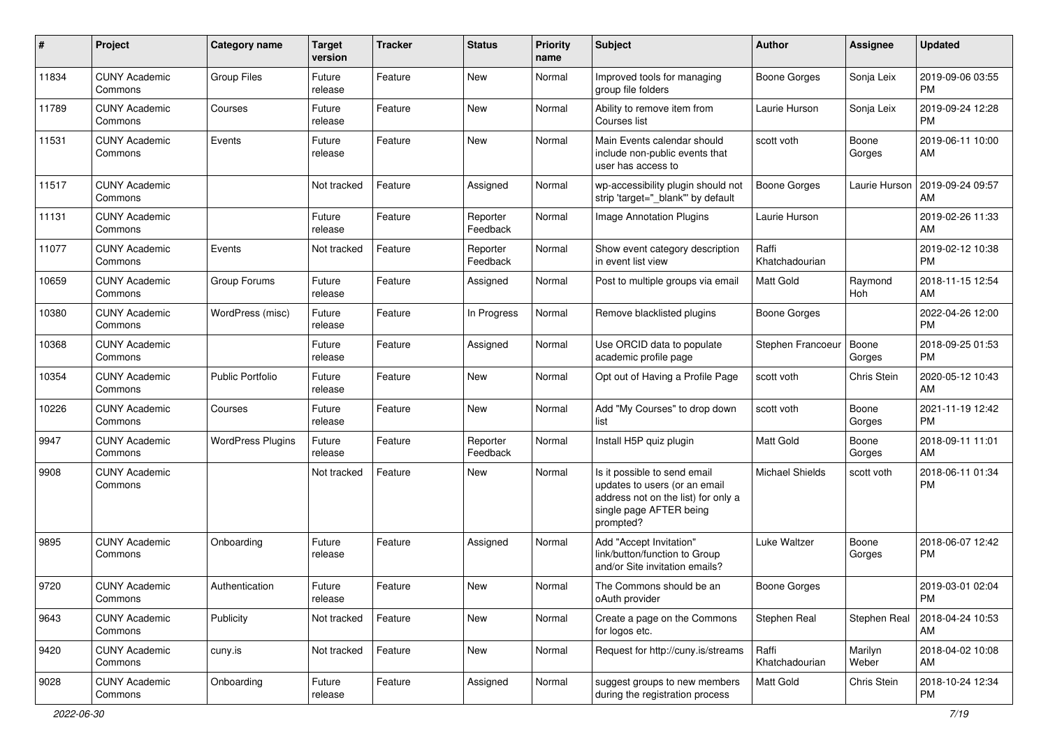| #     | Project                         | <b>Category name</b>     | <b>Target</b><br>version | <b>Tracker</b> | <b>Status</b>        | <b>Priority</b><br>name | Subject                                                                                                                                      | Author                  | <b>Assignee</b>  | <b>Updated</b>                |
|-------|---------------------------------|--------------------------|--------------------------|----------------|----------------------|-------------------------|----------------------------------------------------------------------------------------------------------------------------------------------|-------------------------|------------------|-------------------------------|
| 11834 | <b>CUNY Academic</b><br>Commons | <b>Group Files</b>       | Future<br>release        | Feature        | <b>New</b>           | Normal                  | Improved tools for managing<br>group file folders                                                                                            | <b>Boone Gorges</b>     | Sonja Leix       | 2019-09-06 03:55<br><b>PM</b> |
| 11789 | <b>CUNY Academic</b><br>Commons | Courses                  | Future<br>release        | Feature        | New                  | Normal                  | Ability to remove item from<br>Courses list                                                                                                  | Laurie Hurson           | Sonja Leix       | 2019-09-24 12:28<br><b>PM</b> |
| 11531 | <b>CUNY Academic</b><br>Commons | Events                   | Future<br>release        | Feature        | <b>New</b>           | Normal                  | Main Events calendar should<br>include non-public events that<br>user has access to                                                          | scott voth              | Boone<br>Gorges  | 2019-06-11 10:00<br>AM        |
| 11517 | <b>CUNY Academic</b><br>Commons |                          | Not tracked              | Feature        | Assigned             | Normal                  | wp-accessibility plugin should not<br>strip 'target="_blank"' by default                                                                     | <b>Boone Gorges</b>     | Laurie Hurson    | 2019-09-24 09:57<br>AM        |
| 11131 | <b>CUNY Academic</b><br>Commons |                          | Future<br>release        | Feature        | Reporter<br>Feedback | Normal                  | <b>Image Annotation Plugins</b>                                                                                                              | Laurie Hurson           |                  | 2019-02-26 11:33<br>AM        |
| 11077 | <b>CUNY Academic</b><br>Commons | Events                   | Not tracked              | Feature        | Reporter<br>Feedback | Normal                  | Show event category description<br>in event list view                                                                                        | Raffi<br>Khatchadourian |                  | 2019-02-12 10:38<br><b>PM</b> |
| 10659 | <b>CUNY Academic</b><br>Commons | Group Forums             | Future<br>release        | Feature        | Assigned             | Normal                  | Post to multiple groups via email                                                                                                            | <b>Matt Gold</b>        | Raymond<br>Hoh   | 2018-11-15 12:54<br>AM        |
| 10380 | <b>CUNY Academic</b><br>Commons | WordPress (misc)         | Future<br>release        | Feature        | In Progress          | Normal                  | Remove blacklisted plugins                                                                                                                   | <b>Boone Gorges</b>     |                  | 2022-04-26 12:00<br><b>PM</b> |
| 10368 | <b>CUNY Academic</b><br>Commons |                          | Future<br>release        | Feature        | Assigned             | Normal                  | Use ORCID data to populate<br>academic profile page                                                                                          | Stephen Francoeur       | Boone<br>Gorges  | 2018-09-25 01:53<br><b>PM</b> |
| 10354 | <b>CUNY Academic</b><br>Commons | <b>Public Portfolio</b>  | Future<br>release        | Feature        | New                  | Normal                  | Opt out of Having a Profile Page                                                                                                             | scott voth              | Chris Stein      | 2020-05-12 10:43<br>AM        |
| 10226 | <b>CUNY Academic</b><br>Commons | Courses                  | Future<br>release        | Feature        | <b>New</b>           | Normal                  | Add "My Courses" to drop down<br>list                                                                                                        | scott voth              | Boone<br>Gorges  | 2021-11-19 12:42<br><b>PM</b> |
| 9947  | <b>CUNY Academic</b><br>Commons | <b>WordPress Plugins</b> | Future<br>release        | Feature        | Reporter<br>Feedback | Normal                  | Install H5P quiz plugin                                                                                                                      | Matt Gold               | Boone<br>Gorges  | 2018-09-11 11:01<br>AM        |
| 9908  | <b>CUNY Academic</b><br>Commons |                          | Not tracked              | Feature        | New                  | Normal                  | Is it possible to send email<br>updates to users (or an email<br>address not on the list) for only a<br>single page AFTER being<br>prompted? | <b>Michael Shields</b>  | scott voth       | 2018-06-11 01:34<br><b>PM</b> |
| 9895  | <b>CUNY Academic</b><br>Commons | Onboarding               | Future<br>release        | Feature        | Assigned             | Normal                  | Add "Accept Invitation"<br>link/button/function to Group<br>and/or Site invitation emails?                                                   | Luke Waltzer            | Boone<br>Gorges  | 2018-06-07 12:42<br><b>PM</b> |
| 9720  | <b>CUNY Academic</b><br>Commons | Authentication           | Future<br>release        | Feature        | New                  | Normal                  | The Commons should be an<br>oAuth provider                                                                                                   | <b>Boone Gorges</b>     |                  | 2019-03-01 02:04<br><b>PM</b> |
| 9643  | <b>CUNY Academic</b><br>Commons | Publicity                | Not tracked              | Feature        | New                  | Normal                  | Create a page on the Commons<br>for logos etc.                                                                                               | Stephen Real            | Stephen Real     | 2018-04-24 10:53<br>AM        |
| 9420  | <b>CUNY Academic</b><br>Commons | cuny.is                  | Not tracked              | Feature        | New                  | Normal                  | Request for http://cuny.is/streams                                                                                                           | Raffi<br>Khatchadourian | Marilyn<br>Weber | 2018-04-02 10:08<br>AM        |
| 9028  | <b>CUNY Academic</b><br>Commons | Onboarding               | Future<br>release        | Feature        | Assigned             | Normal                  | suggest groups to new members<br>during the registration process                                                                             | Matt Gold               | Chris Stein      | 2018-10-24 12:34<br>PM        |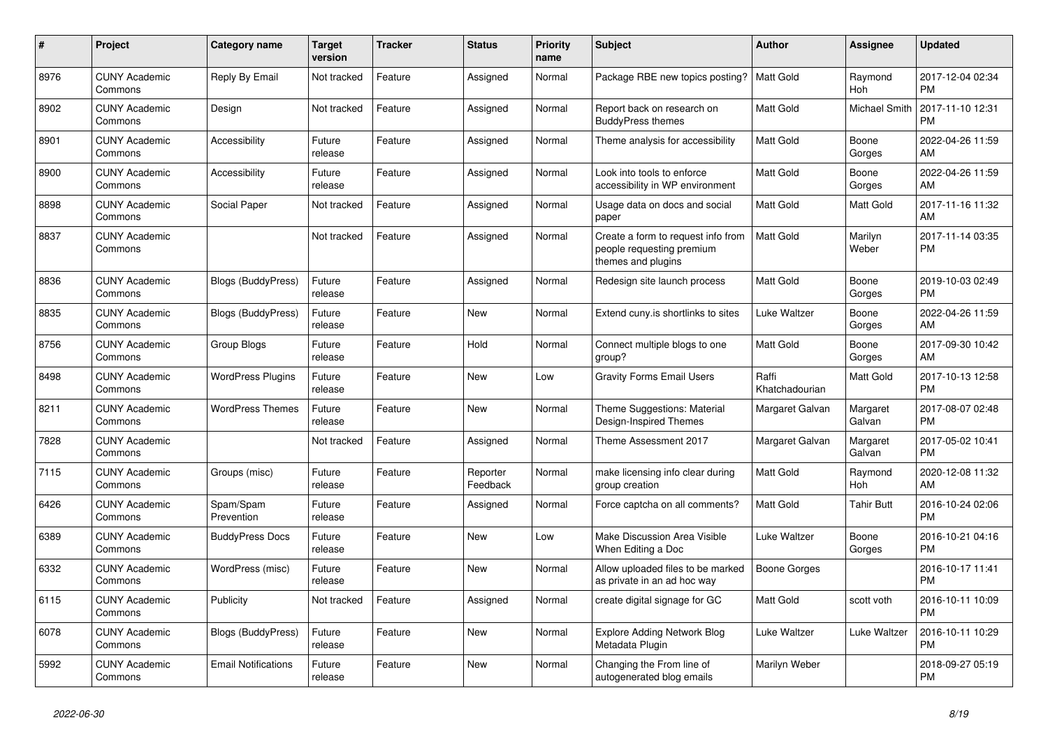| $\pmb{\#}$ | <b>Project</b>                  | <b>Category name</b>       | <b>Target</b><br>version | <b>Tracker</b> | <b>Status</b>        | <b>Priority</b><br>name | <b>Subject</b>                                                                        | Author                  | Assignee             | <b>Updated</b>                |
|------------|---------------------------------|----------------------------|--------------------------|----------------|----------------------|-------------------------|---------------------------------------------------------------------------------------|-------------------------|----------------------|-------------------------------|
| 8976       | <b>CUNY Academic</b><br>Commons | Reply By Email             | Not tracked              | Feature        | Assigned             | Normal                  | Package RBE new topics posting?                                                       | Matt Gold               | Raymond<br>Hoh       | 2017-12-04 02:34<br><b>PM</b> |
| 8902       | <b>CUNY Academic</b><br>Commons | Design                     | Not tracked              | Feature        | Assigned             | Normal                  | Report back on research on<br><b>BuddyPress themes</b>                                | <b>Matt Gold</b>        | <b>Michael Smith</b> | 2017-11-10 12:31<br><b>PM</b> |
| 8901       | <b>CUNY Academic</b><br>Commons | Accessibility              | Future<br>release        | Feature        | Assigned             | Normal                  | Theme analysis for accessibility                                                      | Matt Gold               | Boone<br>Gorges      | 2022-04-26 11:59<br>AM.       |
| 8900       | <b>CUNY Academic</b><br>Commons | Accessibility              | Future<br>release        | Feature        | Assigned             | Normal                  | Look into tools to enforce<br>accessibility in WP environment                         | <b>Matt Gold</b>        | Boone<br>Gorges      | 2022-04-26 11:59<br>AM        |
| 8898       | <b>CUNY Academic</b><br>Commons | Social Paper               | Not tracked              | Feature        | Assigned             | Normal                  | Usage data on docs and social<br>paper                                                | Matt Gold               | <b>Matt Gold</b>     | 2017-11-16 11:32<br>AM        |
| 8837       | <b>CUNY Academic</b><br>Commons |                            | Not tracked              | Feature        | Assigned             | Normal                  | Create a form to request info from<br>people requesting premium<br>themes and plugins | Matt Gold               | Marilyn<br>Weber     | 2017-11-14 03:35<br><b>PM</b> |
| 8836       | <b>CUNY Academic</b><br>Commons | Blogs (BuddyPress)         | Future<br>release        | Feature        | Assigned             | Normal                  | Redesign site launch process                                                          | Matt Gold               | Boone<br>Gorges      | 2019-10-03 02:49<br>PM        |
| 8835       | <b>CUNY Academic</b><br>Commons | Blogs (BuddyPress)         | Future<br>release        | Feature        | <b>New</b>           | Normal                  | Extend cuny is shortlinks to sites                                                    | Luke Waltzer            | Boone<br>Gorges      | 2022-04-26 11:59<br>AM        |
| 8756       | <b>CUNY Academic</b><br>Commons | Group Blogs                | Future<br>release        | Feature        | Hold                 | Normal                  | Connect multiple blogs to one<br>group?                                               | Matt Gold               | Boone<br>Gorges      | 2017-09-30 10:42<br>AM        |
| 8498       | <b>CUNY Academic</b><br>Commons | <b>WordPress Plugins</b>   | Future<br>release        | Feature        | <b>New</b>           | Low                     | <b>Gravity Forms Email Users</b>                                                      | Raffi<br>Khatchadourian | <b>Matt Gold</b>     | 2017-10-13 12:58<br><b>PM</b> |
| 8211       | <b>CUNY Academic</b><br>Commons | <b>WordPress Themes</b>    | Future<br>release        | Feature        | <b>New</b>           | Normal                  | Theme Suggestions: Material<br>Design-Inspired Themes                                 | Margaret Galvan         | Margaret<br>Galvan   | 2017-08-07 02:48<br><b>PM</b> |
| 7828       | <b>CUNY Academic</b><br>Commons |                            | Not tracked              | Feature        | Assigned             | Normal                  | Theme Assessment 2017                                                                 | Margaret Galvan         | Margaret<br>Galvan   | 2017-05-02 10:41<br><b>PM</b> |
| 7115       | <b>CUNY Academic</b><br>Commons | Groups (misc)              | Future<br>release        | Feature        | Reporter<br>Feedback | Normal                  | make licensing info clear during<br>group creation                                    | <b>Matt Gold</b>        | Raymond<br>Hoh       | 2020-12-08 11:32<br>AM        |
| 6426       | <b>CUNY Academic</b><br>Commons | Spam/Spam<br>Prevention    | Future<br>release        | Feature        | Assigned             | Normal                  | Force captcha on all comments?                                                        | Matt Gold               | <b>Tahir Butt</b>    | 2016-10-24 02:06<br><b>PM</b> |
| 6389       | <b>CUNY Academic</b><br>Commons | <b>BuddyPress Docs</b>     | Future<br>release        | Feature        | New                  | Low                     | Make Discussion Area Visible<br>When Editing a Doc                                    | Luke Waltzer            | Boone<br>Gorges      | 2016-10-21 04:16<br><b>PM</b> |
| 6332       | <b>CUNY Academic</b><br>Commons | WordPress (misc)           | Future<br>release        | Feature        | <b>New</b>           | Normal                  | Allow uploaded files to be marked<br>as private in an ad hoc way                      | Boone Gorges            |                      | 2016-10-17 11:41<br><b>PM</b> |
| 6115       | <b>CUNY Academic</b><br>Commons | Publicity                  | Not tracked              | Feature        | Assigned             | Normal                  | create digital signage for GC                                                         | <b>Matt Gold</b>        | scott voth           | 2016-10-11 10:09<br><b>PM</b> |
| 6078       | <b>CUNY Academic</b><br>Commons | <b>Blogs (BuddyPress)</b>  | Future<br>release        | Feature        | New                  | Normal                  | <b>Explore Adding Network Blog</b><br>Metadata Plugin                                 | Luke Waltzer            | Luke Waltzer         | 2016-10-11 10:29<br><b>PM</b> |
| 5992       | <b>CUNY Academic</b><br>Commons | <b>Email Notifications</b> | Future<br>release        | Feature        | <b>New</b>           | Normal                  | Changing the From line of<br>autogenerated blog emails                                | Marilyn Weber           |                      | 2018-09-27 05:19<br><b>PM</b> |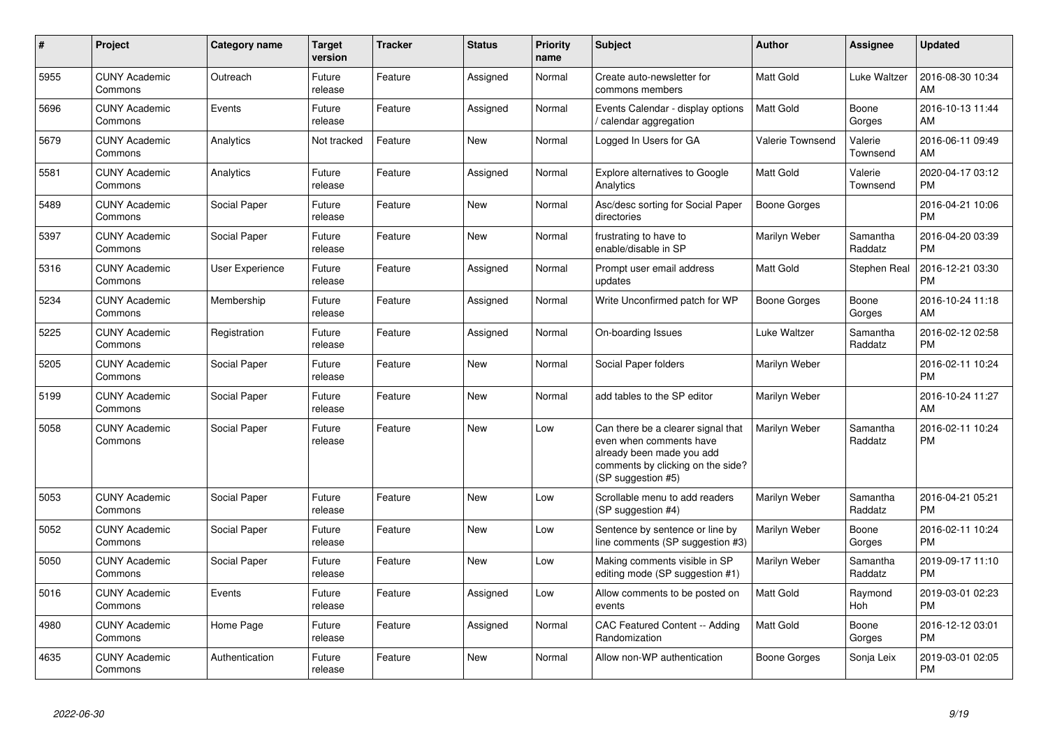| $\pmb{\#}$ | Project                         | <b>Category name</b> | <b>Target</b><br>version | <b>Tracker</b> | <b>Status</b> | <b>Priority</b><br>name | <b>Subject</b>                                                                                                                                        | <b>Author</b>    | Assignee            | <b>Updated</b>                |
|------------|---------------------------------|----------------------|--------------------------|----------------|---------------|-------------------------|-------------------------------------------------------------------------------------------------------------------------------------------------------|------------------|---------------------|-------------------------------|
| 5955       | <b>CUNY Academic</b><br>Commons | Outreach             | Future<br>release        | Feature        | Assigned      | Normal                  | Create auto-newsletter for<br>commons members                                                                                                         | <b>Matt Gold</b> | Luke Waltzer        | 2016-08-30 10:34<br>AM        |
| 5696       | <b>CUNY Academic</b><br>Commons | Events               | Future<br>release        | Feature        | Assigned      | Normal                  | Events Calendar - display options<br>calendar aggregation                                                                                             | <b>Matt Gold</b> | Boone<br>Gorges     | 2016-10-13 11:44<br>AM        |
| 5679       | <b>CUNY Academic</b><br>Commons | Analytics            | Not tracked              | Feature        | <b>New</b>    | Normal                  | Logged In Users for GA                                                                                                                                | Valerie Townsend | Valerie<br>Townsend | 2016-06-11 09:49<br>AM        |
| 5581       | <b>CUNY Academic</b><br>Commons | Analytics            | Future<br>release        | Feature        | Assigned      | Normal                  | <b>Explore alternatives to Google</b><br>Analytics                                                                                                    | Matt Gold        | Valerie<br>Townsend | 2020-04-17 03:12<br><b>PM</b> |
| 5489       | <b>CUNY Academic</b><br>Commons | Social Paper         | Future<br>release        | Feature        | New           | Normal                  | Asc/desc sorting for Social Paper<br>directories                                                                                                      | Boone Gorges     |                     | 2016-04-21 10:06<br><b>PM</b> |
| 5397       | <b>CUNY Academic</b><br>Commons | Social Paper         | Future<br>release        | Feature        | New           | Normal                  | frustrating to have to<br>enable/disable in SP                                                                                                        | Marilyn Weber    | Samantha<br>Raddatz | 2016-04-20 03:39<br><b>PM</b> |
| 5316       | <b>CUNY Academic</b><br>Commons | User Experience      | Future<br>release        | Feature        | Assigned      | Normal                  | Prompt user email address<br>updates                                                                                                                  | Matt Gold        | Stephen Real        | 2016-12-21 03:30<br><b>PM</b> |
| 5234       | <b>CUNY Academic</b><br>Commons | Membership           | Future<br>release        | Feature        | Assigned      | Normal                  | Write Unconfirmed patch for WP                                                                                                                        | Boone Gorges     | Boone<br>Gorges     | 2016-10-24 11:18<br>AM        |
| 5225       | <b>CUNY Academic</b><br>Commons | Registration         | Future<br>release        | Feature        | Assigned      | Normal                  | On-boarding Issues                                                                                                                                    | Luke Waltzer     | Samantha<br>Raddatz | 2016-02-12 02:58<br><b>PM</b> |
| 5205       | <b>CUNY Academic</b><br>Commons | Social Paper         | Future<br>release        | Feature        | <b>New</b>    | Normal                  | Social Paper folders                                                                                                                                  | Marilyn Weber    |                     | 2016-02-11 10:24<br><b>PM</b> |
| 5199       | <b>CUNY Academic</b><br>Commons | Social Paper         | Future<br>release        | Feature        | New           | Normal                  | add tables to the SP editor                                                                                                                           | Marilyn Weber    |                     | 2016-10-24 11:27<br>AM        |
| 5058       | <b>CUNY Academic</b><br>Commons | Social Paper         | Future<br>release        | Feature        | New           | Low                     | Can there be a clearer signal that<br>even when comments have<br>already been made you add<br>comments by clicking on the side?<br>(SP suggestion #5) | Marilyn Weber    | Samantha<br>Raddatz | 2016-02-11 10:24<br><b>PM</b> |
| 5053       | <b>CUNY Academic</b><br>Commons | Social Paper         | Future<br>release        | Feature        | <b>New</b>    | Low                     | Scrollable menu to add readers<br>(SP suggestion #4)                                                                                                  | Marilyn Weber    | Samantha<br>Raddatz | 2016-04-21 05:21<br><b>PM</b> |
| 5052       | <b>CUNY Academic</b><br>Commons | Social Paper         | Future<br>release        | Feature        | New           | Low                     | Sentence by sentence or line by<br>line comments (SP suggestion #3)                                                                                   | Marilyn Weber    | Boone<br>Gorges     | 2016-02-11 10:24<br><b>PM</b> |
| 5050       | <b>CUNY Academic</b><br>Commons | Social Paper         | Future<br>release        | Feature        | <b>New</b>    | Low                     | Making comments visible in SP<br>editing mode (SP suggestion #1)                                                                                      | Marilyn Weber    | Samantha<br>Raddatz | 2019-09-17 11:10<br><b>PM</b> |
| 5016       | <b>CUNY Academic</b><br>Commons | Events               | Future<br>release        | Feature        | Assigned      | Low                     | Allow comments to be posted on<br>events                                                                                                              | Matt Gold        | Raymond<br>Hoh      | 2019-03-01 02:23<br><b>PM</b> |
| 4980       | <b>CUNY Academic</b><br>Commons | Home Page            | Future<br>release        | Feature        | Assigned      | Normal                  | CAC Featured Content -- Adding<br>Randomization                                                                                                       | Matt Gold        | Boone<br>Gorges     | 2016-12-12 03:01<br><b>PM</b> |
| 4635       | <b>CUNY Academic</b><br>Commons | Authentication       | Future<br>release        | Feature        | New           | Normal                  | Allow non-WP authentication                                                                                                                           | Boone Gorges     | Sonja Leix          | 2019-03-01 02:05<br><b>PM</b> |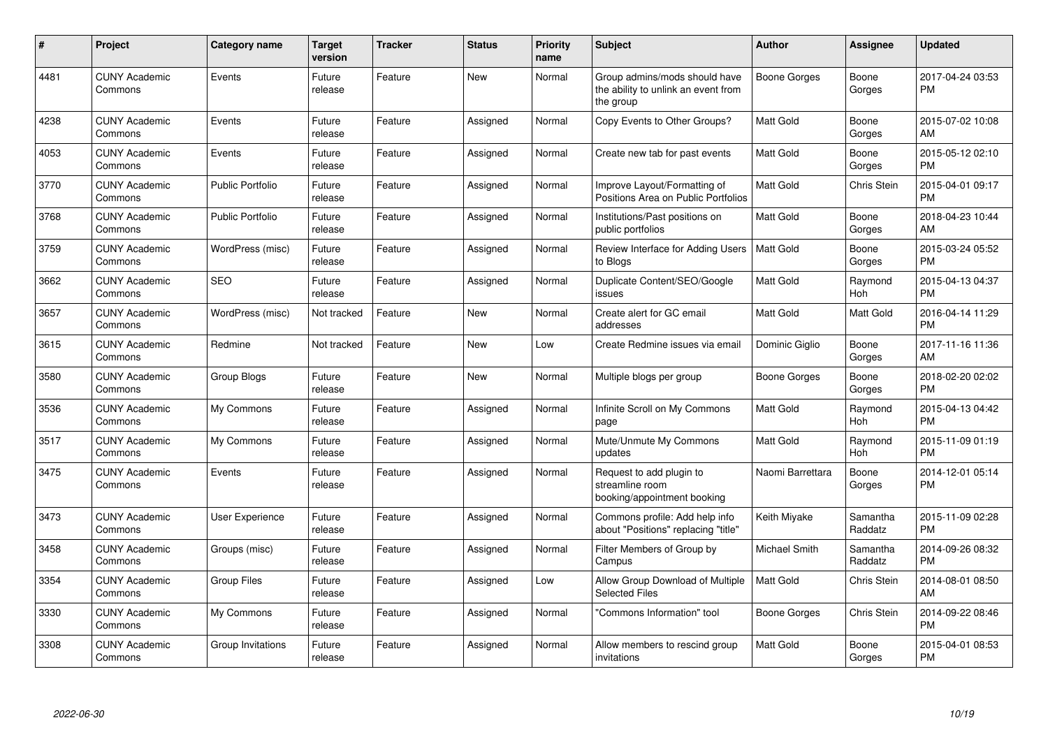| #    | Project                         | <b>Category name</b>    | <b>Target</b><br>version | <b>Tracker</b> | <b>Status</b> | Priority<br>name | <b>Subject</b>                                                                    | <b>Author</b>        | <b>Assignee</b>     | <b>Updated</b>                |
|------|---------------------------------|-------------------------|--------------------------|----------------|---------------|------------------|-----------------------------------------------------------------------------------|----------------------|---------------------|-------------------------------|
| 4481 | <b>CUNY Academic</b><br>Commons | Events                  | Future<br>release        | Feature        | New           | Normal           | Group admins/mods should have<br>the ability to unlink an event from<br>the group | Boone Gorges         | Boone<br>Gorges     | 2017-04-24 03:53<br><b>PM</b> |
| 4238 | <b>CUNY Academic</b><br>Commons | Events                  | Future<br>release        | Feature        | Assigned      | Normal           | Copy Events to Other Groups?                                                      | <b>Matt Gold</b>     | Boone<br>Gorges     | 2015-07-02 10:08<br>AM        |
| 4053 | <b>CUNY Academic</b><br>Commons | Events                  | Future<br>release        | Feature        | Assigned      | Normal           | Create new tab for past events                                                    | <b>Matt Gold</b>     | Boone<br>Gorges     | 2015-05-12 02:10<br><b>PM</b> |
| 3770 | <b>CUNY Academic</b><br>Commons | <b>Public Portfolio</b> | Future<br>release        | Feature        | Assigned      | Normal           | Improve Layout/Formatting of<br>Positions Area on Public Portfolios               | <b>Matt Gold</b>     | Chris Stein         | 2015-04-01 09:17<br><b>PM</b> |
| 3768 | <b>CUNY Academic</b><br>Commons | <b>Public Portfolio</b> | Future<br>release        | Feature        | Assigned      | Normal           | Institutions/Past positions on<br>public portfolios                               | <b>Matt Gold</b>     | Boone<br>Gorges     | 2018-04-23 10:44<br>AM        |
| 3759 | <b>CUNY Academic</b><br>Commons | WordPress (misc)        | Future<br>release        | Feature        | Assigned      | Normal           | Review Interface for Adding Users<br>to Blogs                                     | <b>Matt Gold</b>     | Boone<br>Gorges     | 2015-03-24 05:52<br><b>PM</b> |
| 3662 | <b>CUNY Academic</b><br>Commons | <b>SEO</b>              | Future<br>release        | Feature        | Assigned      | Normal           | Duplicate Content/SEO/Google<br>issues                                            | <b>Matt Gold</b>     | Raymond<br>Hoh      | 2015-04-13 04:37<br><b>PM</b> |
| 3657 | <b>CUNY Academic</b><br>Commons | WordPress (misc)        | Not tracked              | Feature        | <b>New</b>    | Normal           | Create alert for GC email<br>addresses                                            | <b>Matt Gold</b>     | Matt Gold           | 2016-04-14 11:29<br><b>PM</b> |
| 3615 | <b>CUNY Academic</b><br>Commons | Redmine                 | Not tracked              | Feature        | <b>New</b>    | Low              | Create Redmine issues via email                                                   | Dominic Giglio       | Boone<br>Gorges     | 2017-11-16 11:36<br>AM        |
| 3580 | <b>CUNY Academic</b><br>Commons | Group Blogs             | Future<br>release        | Feature        | <b>New</b>    | Normal           | Multiple blogs per group                                                          | Boone Gorges         | Boone<br>Gorges     | 2018-02-20 02:02<br><b>PM</b> |
| 3536 | <b>CUNY Academic</b><br>Commons | My Commons              | Future<br>release        | Feature        | Assigned      | Normal           | Infinite Scroll on My Commons<br>page                                             | Matt Gold            | Raymond<br>Hoh      | 2015-04-13 04:42<br><b>PM</b> |
| 3517 | <b>CUNY Academic</b><br>Commons | My Commons              | Future<br>release        | Feature        | Assigned      | Normal           | Mute/Unmute My Commons<br>updates                                                 | Matt Gold            | Raymond<br>Hoh      | 2015-11-09 01:19<br><b>PM</b> |
| 3475 | <b>CUNY Academic</b><br>Commons | Events                  | Future<br>release        | Feature        | Assigned      | Normal           | Request to add plugin to<br>streamline room<br>booking/appointment booking        | Naomi Barrettara     | Boone<br>Gorges     | 2014-12-01 05:14<br><b>PM</b> |
| 3473 | <b>CUNY Academic</b><br>Commons | User Experience         | Future<br>release        | Feature        | Assigned      | Normal           | Commons profile: Add help info<br>about "Positions" replacing "title"             | Keith Miyake         | Samantha<br>Raddatz | 2015-11-09 02:28<br><b>PM</b> |
| 3458 | <b>CUNY Academic</b><br>Commons | Groups (misc)           | Future<br>release        | Feature        | Assigned      | Normal           | Filter Members of Group by<br>Campus                                              | <b>Michael Smith</b> | Samantha<br>Raddatz | 2014-09-26 08:32<br><b>PM</b> |
| 3354 | <b>CUNY Academic</b><br>Commons | <b>Group Files</b>      | Future<br>release        | Feature        | Assigned      | Low              | Allow Group Download of Multiple<br><b>Selected Files</b>                         | <b>Matt Gold</b>     | Chris Stein         | 2014-08-01 08:50<br>AM        |
| 3330 | <b>CUNY Academic</b><br>Commons | My Commons              | Future<br>release        | Feature        | Assigned      | Normal           | "Commons Information" tool                                                        | Boone Gorges         | Chris Stein         | 2014-09-22 08:46<br><b>PM</b> |
| 3308 | <b>CUNY Academic</b><br>Commons | Group Invitations       | Future<br>release        | Feature        | Assigned      | Normal           | Allow members to rescind group<br>invitations                                     | <b>Matt Gold</b>     | Boone<br>Gorges     | 2015-04-01 08:53<br><b>PM</b> |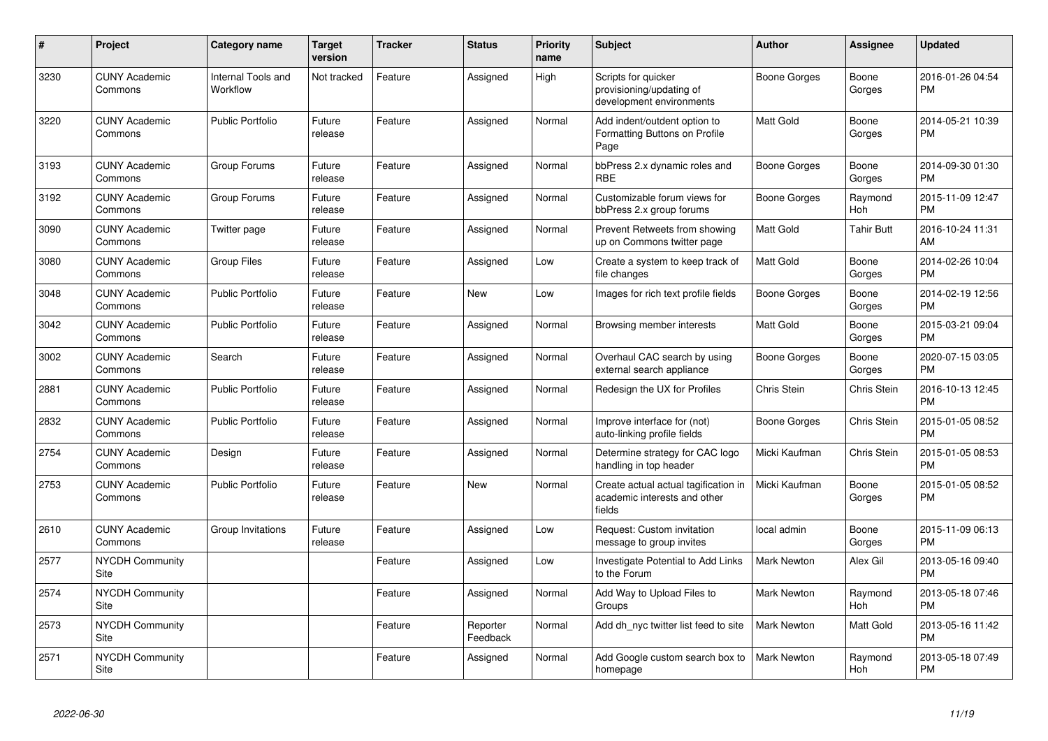| $\#$ | <b>Project</b>                  | Category name                  | <b>Target</b><br>version | <b>Tracker</b> | <b>Status</b>        | <b>Priority</b><br>name | <b>Subject</b>                                                                 | <b>Author</b>      | Assignee          | <b>Updated</b>                |
|------|---------------------------------|--------------------------------|--------------------------|----------------|----------------------|-------------------------|--------------------------------------------------------------------------------|--------------------|-------------------|-------------------------------|
| 3230 | <b>CUNY Academic</b><br>Commons | Internal Tools and<br>Workflow | Not tracked              | Feature        | Assigned             | High                    | Scripts for quicker<br>provisioning/updating of<br>development environments    | Boone Gorges       | Boone<br>Gorges   | 2016-01-26 04:54<br><b>PM</b> |
| 3220 | <b>CUNY Academic</b><br>Commons | <b>Public Portfolio</b>        | Future<br>release        | Feature        | Assigned             | Normal                  | Add indent/outdent option to<br>Formatting Buttons on Profile<br>Page          | <b>Matt Gold</b>   | Boone<br>Gorges   | 2014-05-21 10:39<br><b>PM</b> |
| 3193 | <b>CUNY Academic</b><br>Commons | Group Forums                   | Future<br>release        | Feature        | Assigned             | Normal                  | bbPress 2.x dynamic roles and<br><b>RBE</b>                                    | Boone Gorges       | Boone<br>Gorges   | 2014-09-30 01:30<br><b>PM</b> |
| 3192 | <b>CUNY Academic</b><br>Commons | Group Forums                   | Future<br>release        | Feature        | Assigned             | Normal                  | Customizable forum views for<br>bbPress 2.x group forums                       | Boone Gorges       | Raymond<br>Hoh    | 2015-11-09 12:47<br><b>PM</b> |
| 3090 | <b>CUNY Academic</b><br>Commons | Twitter page                   | Future<br>release        | Feature        | Assigned             | Normal                  | Prevent Retweets from showing<br>up on Commons twitter page                    | <b>Matt Gold</b>   | <b>Tahir Butt</b> | 2016-10-24 11:31<br>AM        |
| 3080 | <b>CUNY Academic</b><br>Commons | <b>Group Files</b>             | Future<br>release        | Feature        | Assigned             | Low                     | Create a system to keep track of<br>file changes                               | <b>Matt Gold</b>   | Boone<br>Gorges   | 2014-02-26 10:04<br><b>PM</b> |
| 3048 | <b>CUNY Academic</b><br>Commons | <b>Public Portfolio</b>        | Future<br>release        | Feature        | <b>New</b>           | Low                     | Images for rich text profile fields                                            | Boone Gorges       | Boone<br>Gorges   | 2014-02-19 12:56<br><b>PM</b> |
| 3042 | <b>CUNY Academic</b><br>Commons | <b>Public Portfolio</b>        | Future<br>release        | Feature        | Assigned             | Normal                  | Browsing member interests                                                      | <b>Matt Gold</b>   | Boone<br>Gorges   | 2015-03-21 09:04<br><b>PM</b> |
| 3002 | <b>CUNY Academic</b><br>Commons | Search                         | Future<br>release        | Feature        | Assigned             | Normal                  | Overhaul CAC search by using<br>external search appliance                      | Boone Gorges       | Boone<br>Gorges   | 2020-07-15 03:05<br><b>PM</b> |
| 2881 | <b>CUNY Academic</b><br>Commons | <b>Public Portfolio</b>        | Future<br>release        | Feature        | Assigned             | Normal                  | Redesign the UX for Profiles                                                   | Chris Stein        | Chris Stein       | 2016-10-13 12:45<br><b>PM</b> |
| 2832 | <b>CUNY Academic</b><br>Commons | <b>Public Portfolio</b>        | Future<br>release        | Feature        | Assigned             | Normal                  | Improve interface for (not)<br>auto-linking profile fields                     | Boone Gorges       | Chris Stein       | 2015-01-05 08:52<br><b>PM</b> |
| 2754 | <b>CUNY Academic</b><br>Commons | Design                         | Future<br>release        | Feature        | Assigned             | Normal                  | Determine strategy for CAC logo<br>handling in top header                      | Micki Kaufman      | Chris Stein       | 2015-01-05 08:53<br><b>PM</b> |
| 2753 | <b>CUNY Academic</b><br>Commons | <b>Public Portfolio</b>        | Future<br>release        | Feature        | <b>New</b>           | Normal                  | Create actual actual tagification in<br>academic interests and other<br>fields | Micki Kaufman      | Boone<br>Gorges   | 2015-01-05 08:52<br><b>PM</b> |
| 2610 | <b>CUNY Academic</b><br>Commons | Group Invitations              | Future<br>release        | Feature        | Assigned             | Low                     | Request: Custom invitation<br>message to group invites                         | local admin        | Boone<br>Gorges   | 2015-11-09 06:13<br><b>PM</b> |
| 2577 | <b>NYCDH Community</b><br>Site  |                                |                          | Feature        | Assigned             | Low                     | Investigate Potential to Add Links<br>to the Forum                             | <b>Mark Newton</b> | Alex Gil          | 2013-05-16 09:40<br><b>PM</b> |
| 2574 | <b>NYCDH Community</b><br>Site  |                                |                          | Feature        | Assigned             | Normal                  | Add Way to Upload Files to<br>Groups                                           | <b>Mark Newton</b> | Raymond<br>Hoh    | 2013-05-18 07:46<br><b>PM</b> |
| 2573 | <b>NYCDH Community</b><br>Site  |                                |                          | Feature        | Reporter<br>Feedback | Normal                  | Add dh nyc twitter list feed to site                                           | <b>Mark Newton</b> | Matt Gold         | 2013-05-16 11:42<br><b>PM</b> |
| 2571 | <b>NYCDH Community</b><br>Site  |                                |                          | Feature        | Assigned             | Normal                  | Add Google custom search box to<br>homepage                                    | Mark Newton        | Raymond<br>Hoh    | 2013-05-18 07:49<br><b>PM</b> |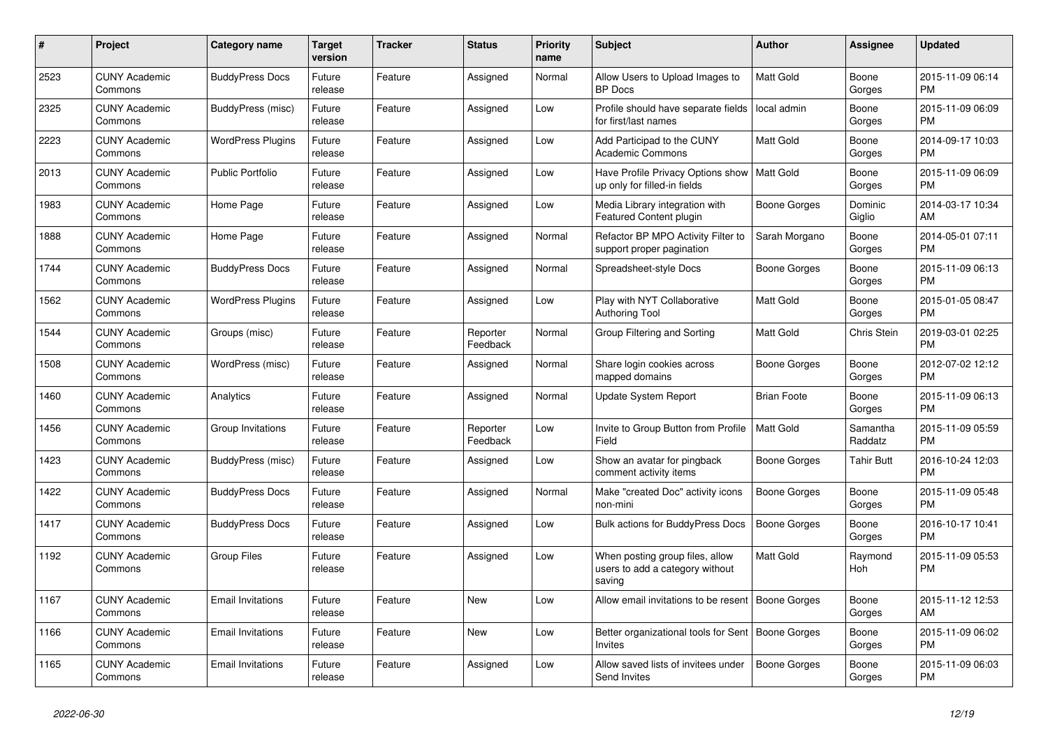| #    | <b>Project</b>                  | <b>Category name</b>     | <b>Target</b><br>version | <b>Tracker</b> | <b>Status</b>        | <b>Priority</b><br>name | <b>Subject</b>                                                               | <b>Author</b>       | Assignee            | <b>Updated</b>                |
|------|---------------------------------|--------------------------|--------------------------|----------------|----------------------|-------------------------|------------------------------------------------------------------------------|---------------------|---------------------|-------------------------------|
| 2523 | <b>CUNY Academic</b><br>Commons | <b>BuddyPress Docs</b>   | Future<br>release        | Feature        | Assigned             | Normal                  | Allow Users to Upload Images to<br><b>BP</b> Docs                            | <b>Matt Gold</b>    | Boone<br>Gorges     | 2015-11-09 06:14<br><b>PM</b> |
| 2325 | <b>CUNY Academic</b><br>Commons | BuddyPress (misc)        | Future<br>release        | Feature        | Assigned             | Low                     | Profile should have separate fields<br>for first/last names                  | local admin         | Boone<br>Gorges     | 2015-11-09 06:09<br><b>PM</b> |
| 2223 | <b>CUNY Academic</b><br>Commons | <b>WordPress Plugins</b> | Future<br>release        | Feature        | Assigned             | Low                     | Add Participad to the CUNY<br><b>Academic Commons</b>                        | Matt Gold           | Boone<br>Gorges     | 2014-09-17 10:03<br><b>PM</b> |
| 2013 | <b>CUNY Academic</b><br>Commons | <b>Public Portfolio</b>  | Future<br>release        | Feature        | Assigned             | Low                     | Have Profile Privacy Options show<br>up only for filled-in fields            | Matt Gold           | Boone<br>Gorges     | 2015-11-09 06:09<br><b>PM</b> |
| 1983 | <b>CUNY Academic</b><br>Commons | Home Page                | Future<br>release        | Feature        | Assigned             | Low                     | Media Library integration with<br>Featured Content plugin                    | <b>Boone Gorges</b> | Dominic<br>Giglio   | 2014-03-17 10:34<br>AM        |
| 1888 | <b>CUNY Academic</b><br>Commons | Home Page                | Future<br>release        | Feature        | Assigned             | Normal                  | Refactor BP MPO Activity Filter to<br>support proper pagination              | Sarah Morgano       | Boone<br>Gorges     | 2014-05-01 07:11<br><b>PM</b> |
| 1744 | <b>CUNY Academic</b><br>Commons | <b>BuddyPress Docs</b>   | Future<br>release        | Feature        | Assigned             | Normal                  | Spreadsheet-style Docs                                                       | Boone Gorges        | Boone<br>Gorges     | 2015-11-09 06:13<br><b>PM</b> |
| 1562 | <b>CUNY Academic</b><br>Commons | <b>WordPress Plugins</b> | Future<br>release        | Feature        | Assigned             | Low                     | Play with NYT Collaborative<br>Authoring Tool                                | <b>Matt Gold</b>    | Boone<br>Gorges     | 2015-01-05 08:47<br><b>PM</b> |
| 1544 | <b>CUNY Academic</b><br>Commons | Groups (misc)            | Future<br>release        | Feature        | Reporter<br>Feedback | Normal                  | Group Filtering and Sorting                                                  | Matt Gold           | Chris Stein         | 2019-03-01 02:25<br><b>PM</b> |
| 1508 | <b>CUNY Academic</b><br>Commons | WordPress (misc)         | Future<br>release        | Feature        | Assigned             | Normal                  | Share login cookies across<br>mapped domains                                 | <b>Boone Gorges</b> | Boone<br>Gorges     | 2012-07-02 12:12<br><b>PM</b> |
| 1460 | <b>CUNY Academic</b><br>Commons | Analytics                | Future<br>release        | Feature        | Assigned             | Normal                  | <b>Update System Report</b>                                                  | <b>Brian Foote</b>  | Boone<br>Gorges     | 2015-11-09 06:13<br><b>PM</b> |
| 1456 | <b>CUNY Academic</b><br>Commons | Group Invitations        | Future<br>release        | Feature        | Reporter<br>Feedback | Low                     | Invite to Group Button from Profile<br>Field                                 | <b>Matt Gold</b>    | Samantha<br>Raddatz | 2015-11-09 05:59<br><b>PM</b> |
| 1423 | <b>CUNY Academic</b><br>Commons | BuddyPress (misc)        | Future<br>release        | Feature        | Assigned             | Low                     | Show an avatar for pingback<br>comment activity items                        | Boone Gorges        | <b>Tahir Butt</b>   | 2016-10-24 12:03<br><b>PM</b> |
| 1422 | <b>CUNY Academic</b><br>Commons | <b>BuddyPress Docs</b>   | Future<br>release        | Feature        | Assigned             | Normal                  | Make "created Doc" activity icons<br>non-mini                                | <b>Boone Gorges</b> | Boone<br>Gorges     | 2015-11-09 05:48<br><b>PM</b> |
| 1417 | <b>CUNY Academic</b><br>Commons | <b>BuddyPress Docs</b>   | Future<br>release        | Feature        | Assigned             | Low                     | <b>Bulk actions for BuddyPress Docs</b>                                      | Boone Gorges        | Boone<br>Gorges     | 2016-10-17 10:41<br><b>PM</b> |
| 1192 | <b>CUNY Academic</b><br>Commons | <b>Group Files</b>       | Future<br>release        | Feature        | Assigned             | Low                     | When posting group files, allow<br>users to add a category without<br>saving | Matt Gold           | Raymond<br>Hoh      | 2015-11-09 05:53<br><b>PM</b> |
| 1167 | <b>CUNY Academic</b><br>Commons | <b>Email Invitations</b> | Future<br>release        | Feature        | <b>New</b>           | Low                     | Allow email invitations to be resent                                         | Boone Gorges        | Boone<br>Gorges     | 2015-11-12 12:53<br>AM        |
| 1166 | <b>CUNY Academic</b><br>Commons | <b>Email Invitations</b> | Future<br>release        | Feature        | New                  | Low                     | Better organizational tools for Sent   Boone Gorges<br>Invites               |                     | Boone<br>Gorges     | 2015-11-09 06:02<br><b>PM</b> |
| 1165 | <b>CUNY Academic</b><br>Commons | <b>Email Invitations</b> | Future<br>release        | Feature        | Assigned             | Low                     | Allow saved lists of invitees under<br>Send Invites                          | <b>Boone Gorges</b> | Boone<br>Gorges     | 2015-11-09 06:03<br><b>PM</b> |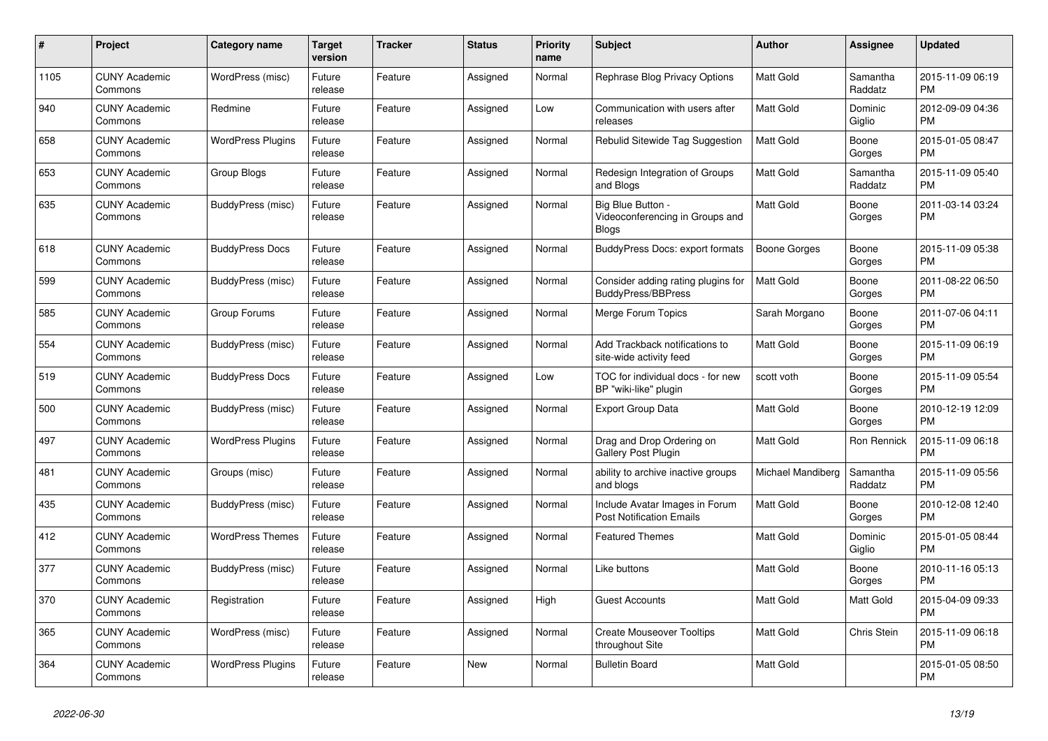| $\pmb{\#}$ | <b>Project</b>                  | <b>Category name</b>     | <b>Target</b><br>version | <b>Tracker</b> | <b>Status</b> | <b>Priority</b><br>name | <b>Subject</b>                                                       | <b>Author</b>     | Assignee            | <b>Updated</b>                |
|------------|---------------------------------|--------------------------|--------------------------|----------------|---------------|-------------------------|----------------------------------------------------------------------|-------------------|---------------------|-------------------------------|
| 1105       | <b>CUNY Academic</b><br>Commons | WordPress (misc)         | Future<br>release        | Feature        | Assigned      | Normal                  | Rephrase Blog Privacy Options                                        | <b>Matt Gold</b>  | Samantha<br>Raddatz | 2015-11-09 06:19<br><b>PM</b> |
| 940        | <b>CUNY Academic</b><br>Commons | Redmine                  | Future<br>release        | Feature        | Assigned      | Low                     | Communication with users after<br>releases                           | Matt Gold         | Dominic<br>Giglio   | 2012-09-09 04:36<br><b>PM</b> |
| 658        | CUNY Academic<br>Commons        | <b>WordPress Plugins</b> | Future<br>release        | Feature        | Assigned      | Normal                  | Rebulid Sitewide Tag Suggestion                                      | Matt Gold         | Boone<br>Gorges     | 2015-01-05 08:47<br><b>PM</b> |
| 653        | <b>CUNY Academic</b><br>Commons | Group Blogs              | Future<br>release        | Feature        | Assigned      | Normal                  | Redesign Integration of Groups<br>and Blogs                          | Matt Gold         | Samantha<br>Raddatz | 2015-11-09 05:40<br><b>PM</b> |
| 635        | <b>CUNY Academic</b><br>Commons | BuddyPress (misc)        | Future<br>release        | Feature        | Assigned      | Normal                  | Big Blue Button -<br>Videoconferencing in Groups and<br><b>Blogs</b> | Matt Gold         | Boone<br>Gorges     | 2011-03-14 03:24<br><b>PM</b> |
| 618        | <b>CUNY Academic</b><br>Commons | <b>BuddyPress Docs</b>   | Future<br>release        | Feature        | Assigned      | Normal                  | <b>BuddyPress Docs: export formats</b>                               | Boone Gorges      | Boone<br>Gorges     | 2015-11-09 05:38<br><b>PM</b> |
| 599        | <b>CUNY Academic</b><br>Commons | BuddyPress (misc)        | Future<br>release        | Feature        | Assigned      | Normal                  | Consider adding rating plugins for<br><b>BuddyPress/BBPress</b>      | Matt Gold         | Boone<br>Gorges     | 2011-08-22 06:50<br><b>PM</b> |
| 585        | <b>CUNY Academic</b><br>Commons | Group Forums             | Future<br>release        | Feature        | Assigned      | Normal                  | Merge Forum Topics                                                   | Sarah Morgano     | Boone<br>Gorges     | 2011-07-06 04:11<br><b>PM</b> |
| 554        | <b>CUNY Academic</b><br>Commons | BuddyPress (misc)        | Future<br>release        | Feature        | Assigned      | Normal                  | Add Trackback notifications to<br>site-wide activity feed            | <b>Matt Gold</b>  | Boone<br>Gorges     | 2015-11-09 06:19<br><b>PM</b> |
| 519        | <b>CUNY Academic</b><br>Commons | <b>BuddyPress Docs</b>   | Future<br>release        | Feature        | Assigned      | Low                     | TOC for individual docs - for new<br>BP "wiki-like" plugin           | scott voth        | Boone<br>Gorges     | 2015-11-09 05:54<br><b>PM</b> |
| 500        | <b>CUNY Academic</b><br>Commons | BuddyPress (misc)        | Future<br>release        | Feature        | Assigned      | Normal                  | <b>Export Group Data</b>                                             | Matt Gold         | Boone<br>Gorges     | 2010-12-19 12:09<br><b>PM</b> |
| 497        | <b>CUNY Academic</b><br>Commons | <b>WordPress Plugins</b> | Future<br>release        | Feature        | Assigned      | Normal                  | Drag and Drop Ordering on<br>Gallery Post Plugin                     | <b>Matt Gold</b>  | Ron Rennick         | 2015-11-09 06:18<br><b>PM</b> |
| 481        | <b>CUNY Academic</b><br>Commons | Groups (misc)            | Future<br>release        | Feature        | Assigned      | Normal                  | ability to archive inactive groups<br>and blogs                      | Michael Mandiberg | Samantha<br>Raddatz | 2015-11-09 05:56<br><b>PM</b> |
| 435        | <b>CUNY Academic</b><br>Commons | BuddyPress (misc)        | Future<br>release        | Feature        | Assigned      | Normal                  | Include Avatar Images in Forum<br><b>Post Notification Emails</b>    | Matt Gold         | Boone<br>Gorges     | 2010-12-08 12:40<br><b>PM</b> |
| 412        | <b>CUNY Academic</b><br>Commons | <b>WordPress Themes</b>  | Future<br>release        | Feature        | Assigned      | Normal                  | <b>Featured Themes</b>                                               | Matt Gold         | Dominic<br>Giglio   | 2015-01-05 08:44<br><b>PM</b> |
| 377        | <b>CUNY Academic</b><br>Commons | BuddyPress (misc)        | Future<br>release        | Feature        | Assigned      | Normal                  | Like buttons                                                         | <b>Matt Gold</b>  | Boone<br>Gorges     | 2010-11-16 05:13<br><b>PM</b> |
| 370        | <b>CUNY Academic</b><br>Commons | Registration             | Future<br>release        | Feature        | Assigned      | High                    | <b>Guest Accounts</b>                                                | <b>Matt Gold</b>  | Matt Gold           | 2015-04-09 09:33<br><b>PM</b> |
| 365        | <b>CUNY Academic</b><br>Commons | WordPress (misc)         | Future<br>release        | Feature        | Assigned      | Normal                  | <b>Create Mouseover Tooltips</b><br>throughout Site                  | Matt Gold         | Chris Stein         | 2015-11-09 06:18<br><b>PM</b> |
| 364        | <b>CUNY Academic</b><br>Commons | <b>WordPress Plugins</b> | Future<br>release        | Feature        | <b>New</b>    | Normal                  | <b>Bulletin Board</b>                                                | Matt Gold         |                     | 2015-01-05 08:50<br><b>PM</b> |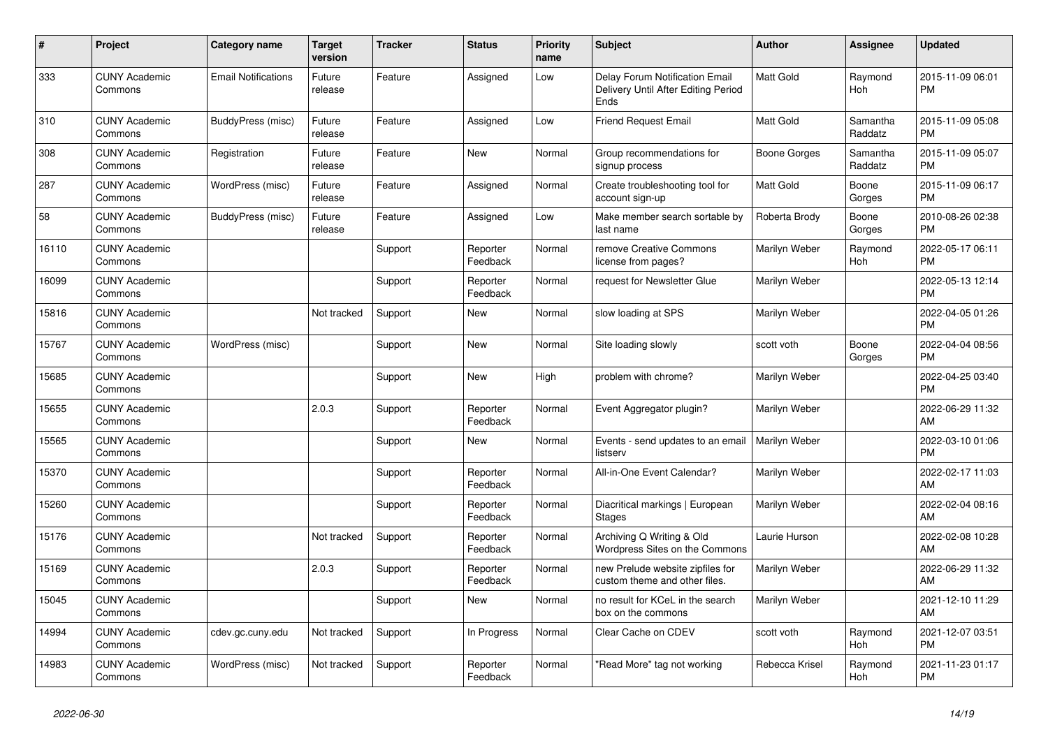| #     | <b>Project</b>                  | Category name              | <b>Target</b><br>version | <b>Tracker</b> | <b>Status</b>        | <b>Priority</b><br>name | <b>Subject</b>                                                                | <b>Author</b>    | Assignee            | <b>Updated</b>                |
|-------|---------------------------------|----------------------------|--------------------------|----------------|----------------------|-------------------------|-------------------------------------------------------------------------------|------------------|---------------------|-------------------------------|
| 333   | <b>CUNY Academic</b><br>Commons | <b>Email Notifications</b> | Future<br>release        | Feature        | Assigned             | Low                     | Delay Forum Notification Email<br>Delivery Until After Editing Period<br>Ends | <b>Matt Gold</b> | Raymond<br>Hoh      | 2015-11-09 06:01<br><b>PM</b> |
| 310   | <b>CUNY Academic</b><br>Commons | BuddyPress (misc)          | Future<br>release        | Feature        | Assigned             | Low                     | <b>Friend Request Email</b>                                                   | Matt Gold        | Samantha<br>Raddatz | 2015-11-09 05:08<br><b>PM</b> |
| 308   | <b>CUNY Academic</b><br>Commons | Registration               | Future<br>release        | Feature        | New                  | Normal                  | Group recommendations for<br>signup process                                   | Boone Gorges     | Samantha<br>Raddatz | 2015-11-09 05:07<br><b>PM</b> |
| 287   | <b>CUNY Academic</b><br>Commons | WordPress (misc)           | Future<br>release        | Feature        | Assigned             | Normal                  | Create troubleshooting tool for<br>account sign-up                            | Matt Gold        | Boone<br>Gorges     | 2015-11-09 06:17<br><b>PM</b> |
| 58    | <b>CUNY Academic</b><br>Commons | BuddyPress (misc)          | Future<br>release        | Feature        | Assigned             | Low                     | Make member search sortable by<br>last name                                   | Roberta Brody    | Boone<br>Gorges     | 2010-08-26 02:38<br><b>PM</b> |
| 16110 | <b>CUNY Academic</b><br>Commons |                            |                          | Support        | Reporter<br>Feedback | Normal                  | remove Creative Commons<br>license from pages?                                | Marilyn Weber    | Raymond<br>Hoh      | 2022-05-17 06:11<br><b>PM</b> |
| 16099 | <b>CUNY Academic</b><br>Commons |                            |                          | Support        | Reporter<br>Feedback | Normal                  | request for Newsletter Glue                                                   | Marilyn Weber    |                     | 2022-05-13 12:14<br><b>PM</b> |
| 15816 | <b>CUNY Academic</b><br>Commons |                            | Not tracked              | Support        | New                  | Normal                  | slow loading at SPS                                                           | Marilyn Weber    |                     | 2022-04-05 01:26<br><b>PM</b> |
| 15767 | <b>CUNY Academic</b><br>Commons | WordPress (misc)           |                          | Support        | New                  | Normal                  | Site loading slowly                                                           | scott voth       | Boone<br>Gorges     | 2022-04-04 08:56<br><b>PM</b> |
| 15685 | <b>CUNY Academic</b><br>Commons |                            |                          | Support        | <b>New</b>           | High                    | problem with chrome?                                                          | Marilyn Weber    |                     | 2022-04-25 03:40<br><b>PM</b> |
| 15655 | <b>CUNY Academic</b><br>Commons |                            | 2.0.3                    | Support        | Reporter<br>Feedback | Normal                  | Event Aggregator plugin?                                                      | Marilyn Weber    |                     | 2022-06-29 11:32<br>AM        |
| 15565 | <b>CUNY Academic</b><br>Commons |                            |                          | Support        | New                  | Normal                  | Events - send updates to an email<br>listserv                                 | Marilyn Weber    |                     | 2022-03-10 01:06<br><b>PM</b> |
| 15370 | <b>CUNY Academic</b><br>Commons |                            |                          | Support        | Reporter<br>Feedback | Normal                  | All-in-One Event Calendar?                                                    | Marilyn Weber    |                     | 2022-02-17 11:03<br>AM        |
| 15260 | <b>CUNY Academic</b><br>Commons |                            |                          | Support        | Reporter<br>Feedback | Normal                  | Diacritical markings   European<br><b>Stages</b>                              | Marilyn Weber    |                     | 2022-02-04 08:16<br>AM        |
| 15176 | <b>CUNY Academic</b><br>Commons |                            | Not tracked              | Support        | Reporter<br>Feedback | Normal                  | Archiving Q Writing & Old<br>Wordpress Sites on the Commons                   | Laurie Hurson    |                     | 2022-02-08 10:28<br>AM        |
| 15169 | <b>CUNY Academic</b><br>Commons |                            | 2.0.3                    | Support        | Reporter<br>Feedback | Normal                  | new Prelude website zipfiles for<br>custom theme and other files.             | Marilyn Weber    |                     | 2022-06-29 11:32<br>AM        |
| 15045 | <b>CUNY Academic</b><br>Commons |                            |                          | Support        | <b>New</b>           | Normal                  | no result for KCeL in the search<br>box on the commons                        | Marilyn Weber    |                     | 2021-12-10 11:29<br>AM        |
| 14994 | <b>CUNY Academic</b><br>Commons | cdev.gc.cuny.edu           | Not tracked              | Support        | In Progress          | Normal                  | Clear Cache on CDEV                                                           | scott voth       | Raymond<br>Hoh      | 2021-12-07 03:51<br><b>PM</b> |
| 14983 | <b>CUNY Academic</b><br>Commons | WordPress (misc)           | Not tracked              | Support        | Reporter<br>Feedback | Normal                  | "Read More" tag not working                                                   | Rebecca Krisel   | Raymond<br>Hoh      | 2021-11-23 01:17<br><b>PM</b> |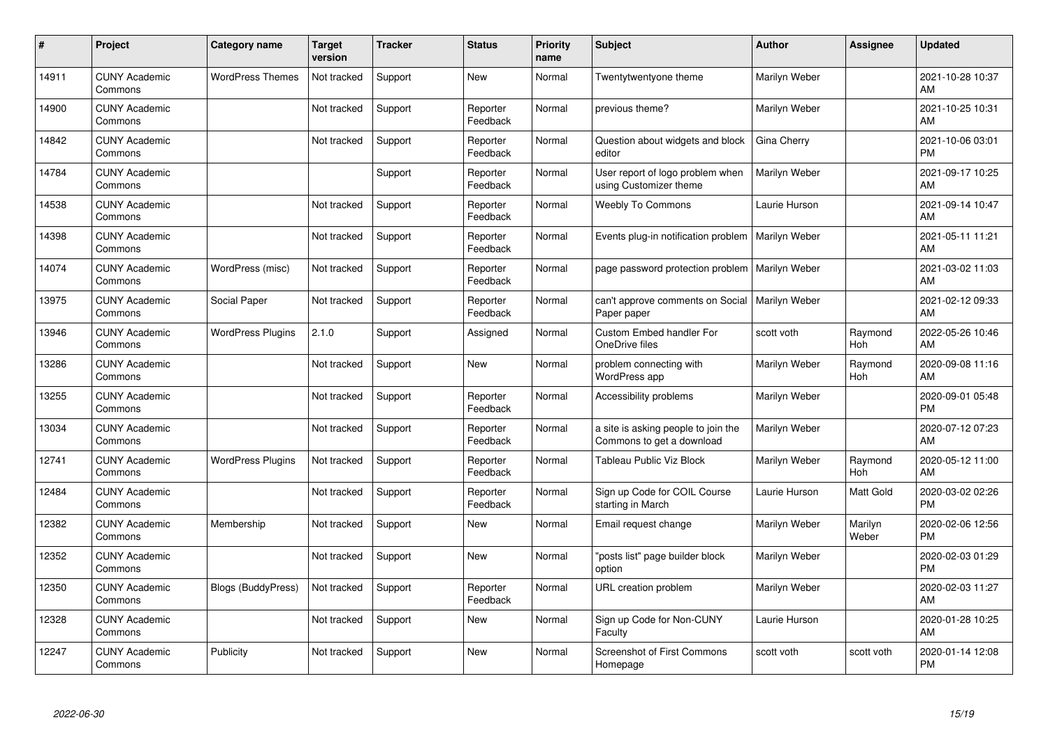| #     | Project                         | <b>Category name</b>      | <b>Target</b><br>version | <b>Tracker</b> | <b>Status</b>        | <b>Priority</b><br>name | <b>Subject</b>                                                   | <b>Author</b>        | Assignee         | <b>Updated</b>                |
|-------|---------------------------------|---------------------------|--------------------------|----------------|----------------------|-------------------------|------------------------------------------------------------------|----------------------|------------------|-------------------------------|
| 14911 | <b>CUNY Academic</b><br>Commons | <b>WordPress Themes</b>   | Not tracked              | Support        | <b>New</b>           | Normal                  | Twentytwentyone theme                                            | Marilyn Weber        |                  | 2021-10-28 10:37<br>AM        |
| 14900 | <b>CUNY Academic</b><br>Commons |                           | Not tracked              | Support        | Reporter<br>Feedback | Normal                  | previous theme?                                                  | Marilyn Weber        |                  | 2021-10-25 10:31<br>AM        |
| 14842 | <b>CUNY Academic</b><br>Commons |                           | Not tracked              | Support        | Reporter<br>Feedback | Normal                  | Question about widgets and block<br>editor                       | Gina Cherry          |                  | 2021-10-06 03:01<br><b>PM</b> |
| 14784 | <b>CUNY Academic</b><br>Commons |                           |                          | Support        | Reporter<br>Feedback | Normal                  | User report of logo problem when<br>using Customizer theme       | Marilyn Weber        |                  | 2021-09-17 10:25<br>AM        |
| 14538 | <b>CUNY Academic</b><br>Commons |                           | Not tracked              | Support        | Reporter<br>Feedback | Normal                  | <b>Weebly To Commons</b>                                         | Laurie Hurson        |                  | 2021-09-14 10:47<br>AM        |
| 14398 | <b>CUNY Academic</b><br>Commons |                           | Not tracked              | Support        | Reporter<br>Feedback | Normal                  | Events plug-in notification problem                              | Marilyn Weber        |                  | 2021-05-11 11:21<br>AM        |
| 14074 | <b>CUNY Academic</b><br>Commons | WordPress (misc)          | Not tracked              | Support        | Reporter<br>Feedback | Normal                  | page password protection problem                                 | <b>Marilyn Weber</b> |                  | 2021-03-02 11:03<br>AM        |
| 13975 | <b>CUNY Academic</b><br>Commons | Social Paper              | Not tracked              | Support        | Reporter<br>Feedback | Normal                  | can't approve comments on Social<br>Paper paper                  | Marilyn Weber        |                  | 2021-02-12 09:33<br>AM        |
| 13946 | <b>CUNY Academic</b><br>Commons | <b>WordPress Plugins</b>  | 2.1.0                    | Support        | Assigned             | Normal                  | <b>Custom Embed handler For</b><br>OneDrive files                | scott voth           | Raymond<br>Hoh   | 2022-05-26 10:46<br>AM        |
| 13286 | <b>CUNY Academic</b><br>Commons |                           | Not tracked              | Support        | <b>New</b>           | Normal                  | problem connecting with<br><b>WordPress app</b>                  | Marilyn Weber        | Raymond<br>Hoh   | 2020-09-08 11:16<br>AM        |
| 13255 | <b>CUNY Academic</b><br>Commons |                           | Not tracked              | Support        | Reporter<br>Feedback | Normal                  | Accessibility problems                                           | Marilyn Weber        |                  | 2020-09-01 05:48<br><b>PM</b> |
| 13034 | <b>CUNY Academic</b><br>Commons |                           | Not tracked              | Support        | Reporter<br>Feedback | Normal                  | a site is asking people to join the<br>Commons to get a download | Marilyn Weber        |                  | 2020-07-12 07:23<br>AM        |
| 12741 | <b>CUNY Academic</b><br>Commons | <b>WordPress Plugins</b>  | Not tracked              | Support        | Reporter<br>Feedback | Normal                  | Tableau Public Viz Block                                         | Marilyn Weber        | Raymond<br>Hoh   | 2020-05-12 11:00<br>AM        |
| 12484 | <b>CUNY Academic</b><br>Commons |                           | Not tracked              | Support        | Reporter<br>Feedback | Normal                  | Sign up Code for COIL Course<br>starting in March                | Laurie Hurson        | Matt Gold        | 2020-03-02 02:26<br><b>PM</b> |
| 12382 | <b>CUNY Academic</b><br>Commons | Membership                | Not tracked              | Support        | New                  | Normal                  | Email request change                                             | Marilyn Weber        | Marilyn<br>Weber | 2020-02-06 12:56<br><b>PM</b> |
| 12352 | <b>CUNY Academic</b><br>Commons |                           | Not tracked              | Support        | <b>New</b>           | Normal                  | "posts list" page builder block<br>option                        | Marilyn Weber        |                  | 2020-02-03 01:29<br><b>PM</b> |
| 12350 | <b>CUNY Academic</b><br>Commons | <b>Blogs (BuddyPress)</b> | Not tracked              | Support        | Reporter<br>Feedback | Normal                  | URL creation problem                                             | Marilyn Weber        |                  | 2020-02-03 11:27<br>AM        |
| 12328 | <b>CUNY Academic</b><br>Commons |                           | Not tracked              | Support        | New                  | Normal                  | Sign up Code for Non-CUNY<br>Faculty                             | Laurie Hurson        |                  | 2020-01-28 10:25<br>AM        |
| 12247 | <b>CUNY Academic</b><br>Commons | Publicity                 | Not tracked              | Support        | <b>New</b>           | Normal                  | <b>Screenshot of First Commons</b><br>Homepage                   | scott voth           | scott voth       | 2020-01-14 12:08<br>PM        |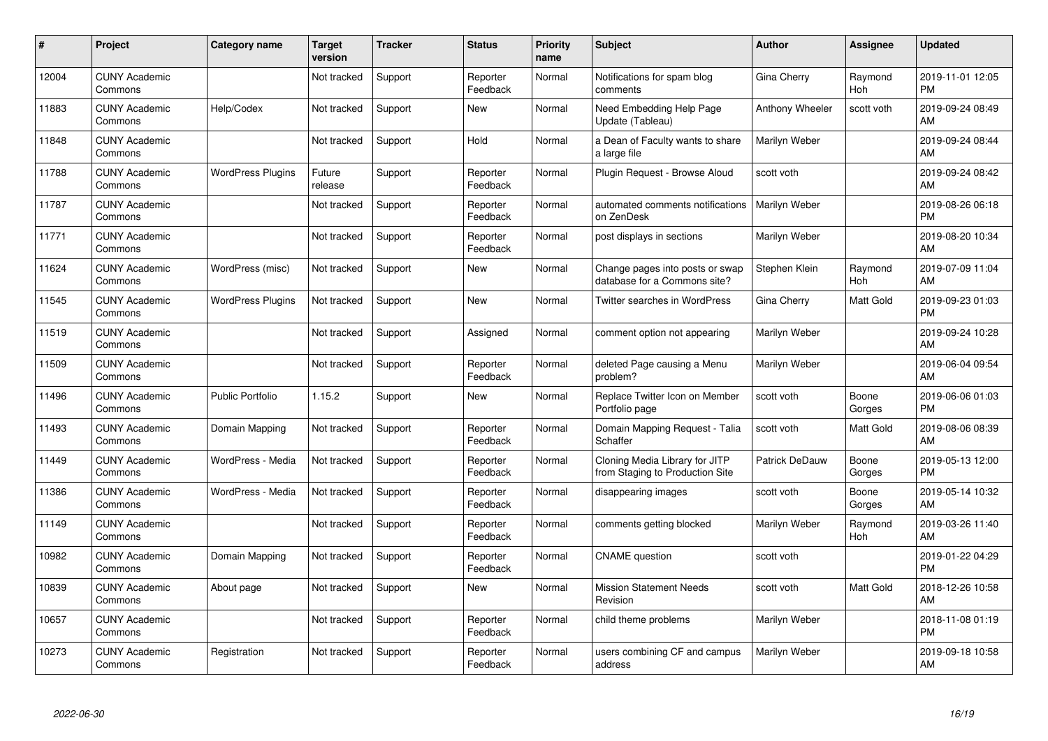| #     | Project                         | <b>Category name</b>     | <b>Target</b><br>version | <b>Tracker</b> | <b>Status</b>        | <b>Priority</b><br>name | <b>Subject</b>                                                    | <b>Author</b>   | <b>Assignee</b> | <b>Updated</b>                |
|-------|---------------------------------|--------------------------|--------------------------|----------------|----------------------|-------------------------|-------------------------------------------------------------------|-----------------|-----------------|-------------------------------|
| 12004 | <b>CUNY Academic</b><br>Commons |                          | Not tracked              | Support        | Reporter<br>Feedback | Normal                  | Notifications for spam blog<br>comments                           | Gina Cherry     | Raymond<br>Hoh  | 2019-11-01 12:05<br><b>PM</b> |
| 11883 | <b>CUNY Academic</b><br>Commons | Help/Codex               | Not tracked              | Support        | <b>New</b>           | Normal                  | Need Embedding Help Page<br>Update (Tableau)                      | Anthony Wheeler | scott voth      | 2019-09-24 08:49<br>AM        |
| 11848 | <b>CUNY Academic</b><br>Commons |                          | Not tracked              | Support        | Hold                 | Normal                  | a Dean of Faculty wants to share<br>a large file                  | Marilyn Weber   |                 | 2019-09-24 08:44<br>AM        |
| 11788 | <b>CUNY Academic</b><br>Commons | <b>WordPress Plugins</b> | Future<br>release        | Support        | Reporter<br>Feedback | Normal                  | Plugin Request - Browse Aloud                                     | scott voth      |                 | 2019-09-24 08:42<br>AM        |
| 11787 | <b>CUNY Academic</b><br>Commons |                          | Not tracked              | Support        | Reporter<br>Feedback | Normal                  | automated comments notifications<br>on ZenDesk                    | Marilyn Weber   |                 | 2019-08-26 06:18<br><b>PM</b> |
| 11771 | <b>CUNY Academic</b><br>Commons |                          | Not tracked              | Support        | Reporter<br>Feedback | Normal                  | post displays in sections                                         | Marilyn Weber   |                 | 2019-08-20 10:34<br>AM        |
| 11624 | <b>CUNY Academic</b><br>Commons | WordPress (misc)         | Not tracked              | Support        | <b>New</b>           | Normal                  | Change pages into posts or swap<br>database for a Commons site?   | Stephen Klein   | Raymond<br>Hoh  | 2019-07-09 11:04<br>AM        |
| 11545 | <b>CUNY Academic</b><br>Commons | <b>WordPress Plugins</b> | Not tracked              | Support        | <b>New</b>           | Normal                  | Twitter searches in WordPress                                     | Gina Cherry     | Matt Gold       | 2019-09-23 01:03<br><b>PM</b> |
| 11519 | <b>CUNY Academic</b><br>Commons |                          | Not tracked              | Support        | Assigned             | Normal                  | comment option not appearing                                      | Marilyn Weber   |                 | 2019-09-24 10:28<br>AM        |
| 11509 | <b>CUNY Academic</b><br>Commons |                          | Not tracked              | Support        | Reporter<br>Feedback | Normal                  | deleted Page causing a Menu<br>problem?                           | Marilyn Weber   |                 | 2019-06-04 09:54<br>AM        |
| 11496 | <b>CUNY Academic</b><br>Commons | <b>Public Portfolio</b>  | 1.15.2                   | Support        | New                  | Normal                  | Replace Twitter Icon on Member<br>Portfolio page                  | scott voth      | Boone<br>Gorges | 2019-06-06 01:03<br><b>PM</b> |
| 11493 | <b>CUNY Academic</b><br>Commons | Domain Mapping           | Not tracked              | Support        | Reporter<br>Feedback | Normal                  | Domain Mapping Request - Talia<br>Schaffer                        | scott voth      | Matt Gold       | 2019-08-06 08:39<br>AM        |
| 11449 | <b>CUNY Academic</b><br>Commons | WordPress - Media        | Not tracked              | Support        | Reporter<br>Feedback | Normal                  | Cloning Media Library for JITP<br>from Staging to Production Site | Patrick DeDauw  | Boone<br>Gorges | 2019-05-13 12:00<br><b>PM</b> |
| 11386 | <b>CUNY Academic</b><br>Commons | WordPress - Media        | Not tracked              | Support        | Reporter<br>Feedback | Normal                  | disappearing images                                               | scott voth      | Boone<br>Gorges | 2019-05-14 10:32<br>AM        |
| 11149 | <b>CUNY Academic</b><br>Commons |                          | Not tracked              | Support        | Reporter<br>Feedback | Normal                  | comments getting blocked                                          | Marilyn Weber   | Raymond<br>Hoh  | 2019-03-26 11:40<br>AM        |
| 10982 | <b>CUNY Academic</b><br>Commons | Domain Mapping           | Not tracked              | Support        | Reporter<br>Feedback | Normal                  | <b>CNAME</b> question                                             | scott voth      |                 | 2019-01-22 04:29<br><b>PM</b> |
| 10839 | <b>CUNY Academic</b><br>Commons | About page               | Not tracked              | Support        | New                  | Normal                  | <b>Mission Statement Needs</b><br>Revision                        | scott voth      | Matt Gold       | 2018-12-26 10:58<br>AM        |
| 10657 | <b>CUNY Academic</b><br>Commons |                          | Not tracked              | Support        | Reporter<br>Feedback | Normal                  | child theme problems                                              | Marilyn Weber   |                 | 2018-11-08 01:19<br><b>PM</b> |
| 10273 | <b>CUNY Academic</b><br>Commons | Registration             | Not tracked              | Support        | Reporter<br>Feedback | Normal                  | users combining CF and campus<br>address                          | Marilyn Weber   |                 | 2019-09-18 10:58<br>AM        |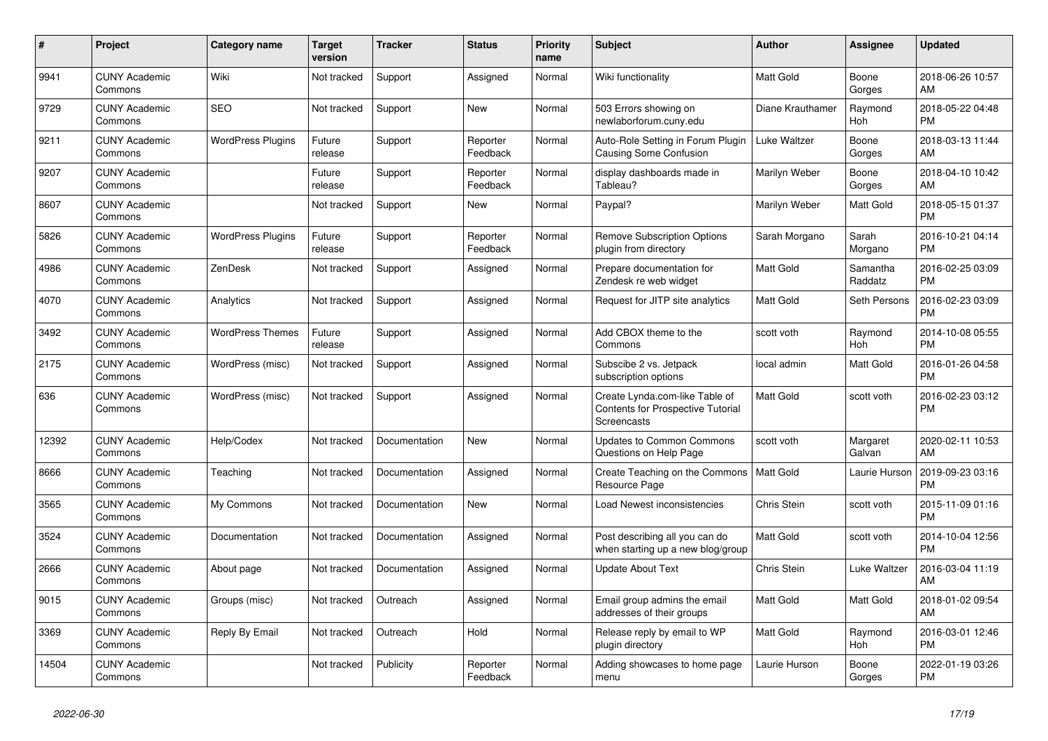| #     | <b>Project</b>                  | Category name            | <b>Target</b><br>version | <b>Tracker</b> | <b>Status</b>        | <b>Priority</b><br>name | <b>Subject</b>                                                                            | <b>Author</b>    | Assignee            | <b>Updated</b>                |
|-------|---------------------------------|--------------------------|--------------------------|----------------|----------------------|-------------------------|-------------------------------------------------------------------------------------------|------------------|---------------------|-------------------------------|
| 9941  | <b>CUNY Academic</b><br>Commons | Wiki                     | Not tracked              | Support        | Assigned             | Normal                  | Wiki functionality                                                                        | <b>Matt Gold</b> | Boone<br>Gorges     | 2018-06-26 10:57<br>AM        |
| 9729  | <b>CUNY Academic</b><br>Commons | <b>SEO</b>               | Not tracked              | Support        | New                  | Normal                  | 503 Errors showing on<br>newlaborforum.cuny.edu                                           | Diane Krauthamer | Raymond<br>Hoh      | 2018-05-22 04:48<br><b>PM</b> |
| 9211  | <b>CUNY Academic</b><br>Commons | <b>WordPress Plugins</b> | Future<br>release        | Support        | Reporter<br>Feedback | Normal                  | Auto-Role Setting in Forum Plugin<br><b>Causing Some Confusion</b>                        | Luke Waltzer     | Boone<br>Gorges     | 2018-03-13 11:44<br>AM        |
| 9207  | <b>CUNY Academic</b><br>Commons |                          | Future<br>release        | Support        | Reporter<br>Feedback | Normal                  | display dashboards made in<br>Tableau?                                                    | Marilyn Weber    | Boone<br>Gorges     | 2018-04-10 10:42<br>AM        |
| 8607  | <b>CUNY Academic</b><br>Commons |                          | Not tracked              | Support        | New                  | Normal                  | Paypal?                                                                                   | Marilyn Weber    | Matt Gold           | 2018-05-15 01:37<br><b>PM</b> |
| 5826  | <b>CUNY Academic</b><br>Commons | <b>WordPress Plugins</b> | Future<br>release        | Support        | Reporter<br>Feedback | Normal                  | <b>Remove Subscription Options</b><br>plugin from directory                               | Sarah Morgano    | Sarah<br>Morgano    | 2016-10-21 04:14<br><b>PM</b> |
| 4986  | <b>CUNY Academic</b><br>Commons | ZenDesk                  | Not tracked              | Support        | Assigned             | Normal                  | Prepare documentation for<br>Zendesk re web widget                                        | <b>Matt Gold</b> | Samantha<br>Raddatz | 2016-02-25 03:09<br><b>PM</b> |
| 4070  | <b>CUNY Academic</b><br>Commons | Analytics                | Not tracked              | Support        | Assigned             | Normal                  | Request for JITP site analytics                                                           | Matt Gold        | Seth Persons        | 2016-02-23 03:09<br><b>PM</b> |
| 3492  | <b>CUNY Academic</b><br>Commons | <b>WordPress Themes</b>  | Future<br>release        | Support        | Assigned             | Normal                  | Add CBOX theme to the<br>Commons                                                          | scott voth       | Raymond<br>Hoh      | 2014-10-08 05:55<br><b>PM</b> |
| 2175  | <b>CUNY Academic</b><br>Commons | WordPress (misc)         | Not tracked              | Support        | Assigned             | Normal                  | Subscibe 2 vs. Jetpack<br>subscription options                                            | local admin      | Matt Gold           | 2016-01-26 04:58<br><b>PM</b> |
| 636   | <b>CUNY Academic</b><br>Commons | WordPress (misc)         | Not tracked              | Support        | Assigned             | Normal                  | Create Lynda.com-like Table of<br><b>Contents for Prospective Tutorial</b><br>Screencasts | Matt Gold        | scott voth          | 2016-02-23 03:12<br><b>PM</b> |
| 12392 | <b>CUNY Academic</b><br>Commons | Help/Codex               | Not tracked              | Documentation  | New                  | Normal                  | <b>Updates to Common Commons</b><br>Questions on Help Page                                | scott voth       | Margaret<br>Galvan  | 2020-02-11 10:53<br>AM        |
| 8666  | <b>CUNY Academic</b><br>Commons | Teaching                 | Not tracked              | Documentation  | Assigned             | Normal                  | Create Teaching on the Commons<br>Resource Page                                           | <b>Matt Gold</b> | Laurie Hurson       | 2019-09-23 03:16<br><b>PM</b> |
| 3565  | <b>CUNY Academic</b><br>Commons | My Commons               | Not tracked              | Documentation  | <b>New</b>           | Normal                  | Load Newest inconsistencies                                                               | Chris Stein      | scott voth          | 2015-11-09 01:16<br><b>PM</b> |
| 3524  | <b>CUNY Academic</b><br>Commons | Documentation            | Not tracked              | Documentation  | Assigned             | Normal                  | Post describing all you can do<br>when starting up a new blog/group                       | <b>Matt Gold</b> | scott voth          | 2014-10-04 12:56<br><b>PM</b> |
| 2666  | <b>CUNY Academic</b><br>Commons | About page               | Not tracked              | Documentation  | Assigned             | Normal                  | <b>Update About Text</b>                                                                  | Chris Stein      | Luke Waltzer        | 2016-03-04 11:19<br>AM        |
| 9015  | <b>CUNY Academic</b><br>Commons | Groups (misc)            | Not tracked              | Outreach       | Assigned             | Normal                  | Email group admins the email<br>addresses of their groups                                 | <b>Matt Gold</b> | Matt Gold           | 2018-01-02 09:54<br>AM        |
| 3369  | <b>CUNY Academic</b><br>Commons | Reply By Email           | Not tracked              | Outreach       | Hold                 | Normal                  | Release reply by email to WP<br>plugin directory                                          | <b>Matt Gold</b> | Raymond<br>Hoh      | 2016-03-01 12:46<br><b>PM</b> |
| 14504 | <b>CUNY Academic</b><br>Commons |                          | Not tracked              | Publicity      | Reporter<br>Feedback | Normal                  | Adding showcases to home page<br>menu                                                     | Laurie Hurson    | Boone<br>Gorges     | 2022-01-19 03:26<br><b>PM</b> |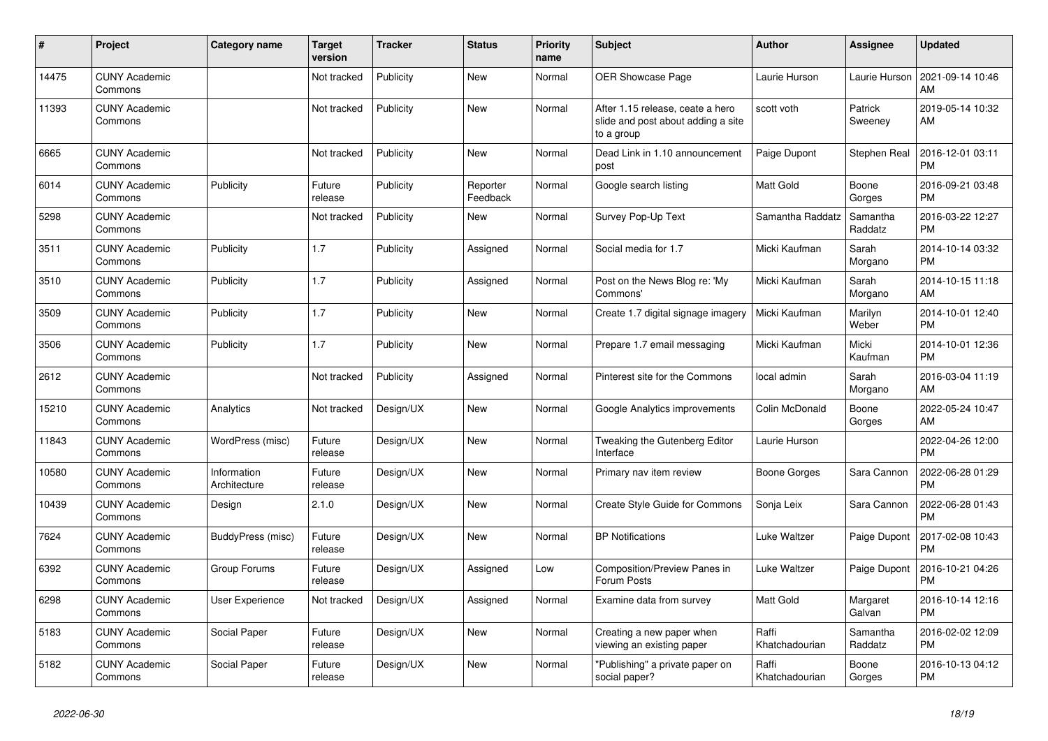| $\vert$ # | <b>Project</b>                  | Category name               | <b>Target</b><br>version | <b>Tracker</b> | <b>Status</b>        | <b>Priority</b><br>name | <b>Subject</b>                                                                       | <b>Author</b>           | Assignee            | <b>Updated</b>                |
|-----------|---------------------------------|-----------------------------|--------------------------|----------------|----------------------|-------------------------|--------------------------------------------------------------------------------------|-------------------------|---------------------|-------------------------------|
| 14475     | <b>CUNY Academic</b><br>Commons |                             | Not tracked              | Publicity      | <b>New</b>           | Normal                  | <b>OER Showcase Page</b>                                                             | Laurie Hurson           | Laurie Hurson       | 2021-09-14 10:46<br>AM        |
| 11393     | <b>CUNY Academic</b><br>Commons |                             | Not tracked              | Publicity      | <b>New</b>           | Normal                  | After 1.15 release, ceate a hero<br>slide and post about adding a site<br>to a group | scott voth              | Patrick<br>Sweeney  | 2019-05-14 10:32<br>AM        |
| 6665      | <b>CUNY Academic</b><br>Commons |                             | Not tracked              | Publicity      | <b>New</b>           | Normal                  | Dead Link in 1.10 announcement<br>post                                               | Paige Dupont            | Stephen Real        | 2016-12-01 03:11<br><b>PM</b> |
| 6014      | <b>CUNY Academic</b><br>Commons | Publicity                   | Future<br>release        | Publicity      | Reporter<br>Feedback | Normal                  | Google search listing                                                                | <b>Matt Gold</b>        | Boone<br>Gorges     | 2016-09-21 03:48<br><b>PM</b> |
| 5298      | <b>CUNY Academic</b><br>Commons |                             | Not tracked              | Publicity      | New                  | Normal                  | Survey Pop-Up Text                                                                   | Samantha Raddatz        | Samantha<br>Raddatz | 2016-03-22 12:27<br><b>PM</b> |
| 3511      | <b>CUNY Academic</b><br>Commons | Publicity                   | 1.7                      | Publicity      | Assigned             | Normal                  | Social media for 1.7                                                                 | Micki Kaufman           | Sarah<br>Morgano    | 2014-10-14 03:32<br><b>PM</b> |
| 3510      | <b>CUNY Academic</b><br>Commons | Publicity                   | 1.7                      | Publicity      | Assigned             | Normal                  | Post on the News Blog re: 'My<br>Commons'                                            | Micki Kaufman           | Sarah<br>Morgano    | 2014-10-15 11:18<br>AM        |
| 3509      | <b>CUNY Academic</b><br>Commons | Publicity                   | 1.7                      | Publicity      | New                  | Normal                  | Create 1.7 digital signage imagery                                                   | Micki Kaufman           | Marilyn<br>Weber    | 2014-10-01 12:40<br><b>PM</b> |
| 3506      | <b>CUNY Academic</b><br>Commons | Publicity                   | 1.7                      | Publicity      | <b>New</b>           | Normal                  | Prepare 1.7 email messaging                                                          | Micki Kaufman           | Micki<br>Kaufman    | 2014-10-01 12:36<br><b>PM</b> |
| 2612      | <b>CUNY Academic</b><br>Commons |                             | Not tracked              | Publicity      | Assigned             | Normal                  | Pinterest site for the Commons                                                       | local admin             | Sarah<br>Morgano    | 2016-03-04 11:19<br>AM        |
| 15210     | <b>CUNY Academic</b><br>Commons | Analytics                   | Not tracked              | Design/UX      | New                  | Normal                  | Google Analytics improvements                                                        | Colin McDonald          | Boone<br>Gorges     | 2022-05-24 10:47<br>AM        |
| 11843     | <b>CUNY Academic</b><br>Commons | WordPress (misc)            | Future<br>release        | Design/UX      | <b>New</b>           | Normal                  | Tweaking the Gutenberg Editor<br>Interface                                           | Laurie Hurson           |                     | 2022-04-26 12:00<br><b>PM</b> |
| 10580     | <b>CUNY Academic</b><br>Commons | Information<br>Architecture | Future<br>release        | Design/UX      | <b>New</b>           | Normal                  | Primary nav item review                                                              | Boone Gorges            | Sara Cannon         | 2022-06-28 01:29<br><b>PM</b> |
| 10439     | <b>CUNY Academic</b><br>Commons | Design                      | 2.1.0                    | Design/UX      | <b>New</b>           | Normal                  | Create Style Guide for Commons                                                       | Sonja Leix              | Sara Cannon         | 2022-06-28 01:43<br><b>PM</b> |
| 7624      | <b>CUNY Academic</b><br>Commons | BuddyPress (misc)           | Future<br>release        | Design/UX      | <b>New</b>           | Normal                  | <b>BP</b> Notifications                                                              | Luke Waltzer            | Paige Dupont        | 2017-02-08 10:43<br><b>PM</b> |
| 6392      | <b>CUNY Academic</b><br>Commons | Group Forums                | Future<br>release        | Design/UX      | Assigned             | Low                     | Composition/Preview Panes in<br>Forum Posts                                          | Luke Waltzer            | Paige Dupont        | 2016-10-21 04:26<br><b>PM</b> |
| 6298      | <b>CUNY Academic</b><br>Commons | User Experience             | Not tracked              | Design/UX      | Assigned             | Normal                  | Examine data from survey                                                             | <b>Matt Gold</b>        | Margaret<br>Galvan  | 2016-10-14 12:16<br><b>PM</b> |
| 5183      | <b>CUNY Academic</b><br>Commons | Social Paper                | Future<br>release        | Design/UX      | New                  | Normal                  | Creating a new paper when<br>viewing an existing paper                               | Raffi<br>Khatchadourian | Samantha<br>Raddatz | 2016-02-02 12:09<br><b>PM</b> |
| 5182      | <b>CUNY Academic</b><br>Commons | Social Paper                | Future<br>release        | Design/UX      | <b>New</b>           | Normal                  | "Publishing" a private paper on<br>social paper?                                     | Raffi<br>Khatchadourian | Boone<br>Gorges     | 2016-10-13 04:12<br><b>PM</b> |